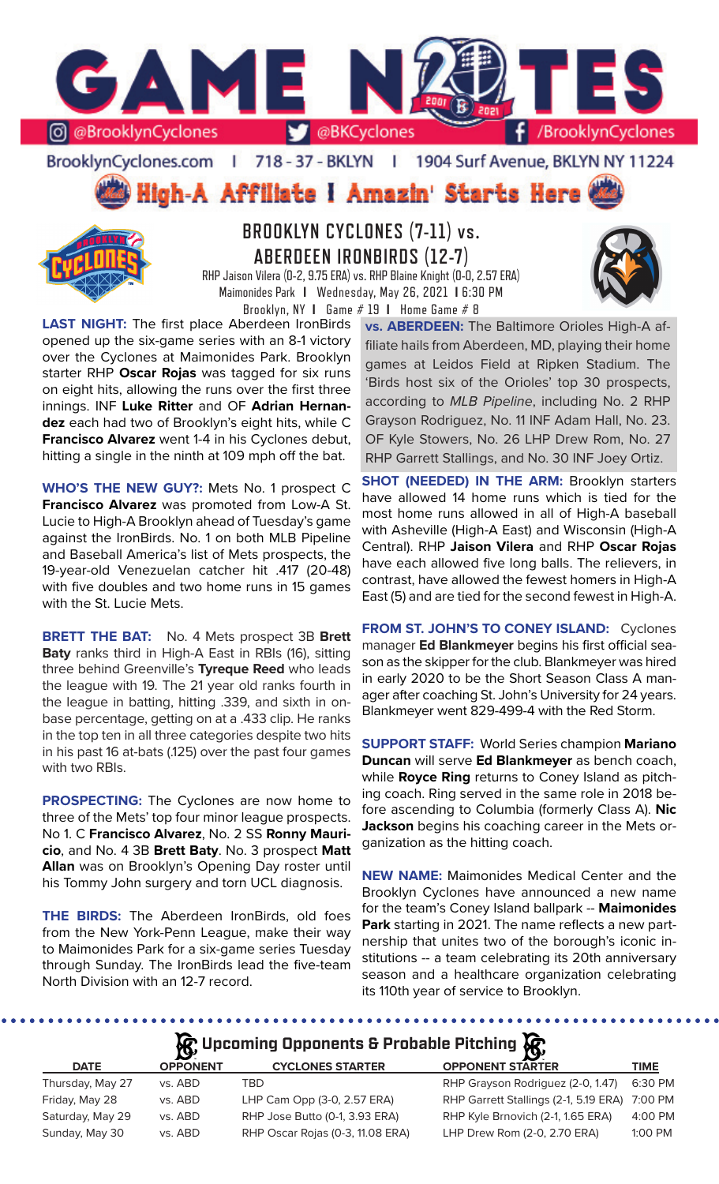

### BrooklynCyclones.com | 718 - 37 - BKLYN | 1904 Surf Avenue, BKLYN NY 11224

**High-A Affiliate I Amazin' Starts Here** 



# **BROOKLYN CYCLONES (7-11) vs. ABERDEEN IRONBIRDS (12-7)**

RHP Jaison Vilera (0-2, 9.75 ERA) vs. RHP Blaine Knight (0-0, 2.57 ERA) Maimonides Park **I** Wednesday, May 26, 2021 **I** 6:30 PM Brooklyn, NY **I** Game # 19 **I** Home Game # 8

**LAST NIGHT:** The first place Aberdeen IronBirds opened up the six-game series with an 8-1 victory over the Cyclones at Maimonides Park. Brooklyn starter RHP **Oscar Rojas** was tagged for six runs on eight hits, allowing the runs over the first three innings. INF **Luke Ritter** and OF **Adrian Hernandez** each had two of Brooklyn's eight hits, while C **Francisco Alvarez** went 1-4 in his Cyclones debut, hitting a single in the ninth at 109 mph off the bat.

**WHO'S THE NEW GUY?:** Mets No. 1 prospect C **Francisco Alvarez** was promoted from Low-A St. Lucie to High-A Brooklyn ahead of Tuesday's game against the IronBirds. No. 1 on both MLB Pipeline and Baseball America's list of Mets prospects, the 19-year-old Venezuelan catcher hit .417 (20-48) with five doubles and two home runs in 15 games with the St. Lucie Mets.

**BRETT THE BAT:** No. 4 Mets prospect 3B **Brett Baty** ranks third in High-A East in RBIs (16), sitting three behind Greenville's **Tyreque Reed** who leads the league with 19. The 21 year old ranks fourth in the league in batting, hitting .339, and sixth in onbase percentage, getting on at a .433 clip. He ranks in the top ten in all three categories despite two hits in his past 16 at-bats (.125) over the past four games with two RBIs.

**PROSPECTING:** The Cyclones are now home to three of the Mets' top four minor league prospects. No 1. C **Francisco Alvarez**, No. 2 SS **Ronny Mauricio**, and No. 4 3B **Brett Baty**. No. 3 prospect **Matt Allan** was on Brooklyn's Opening Day roster until his Tommy John surgery and torn UCL diagnosis.

**THE BIRDS:** The Aberdeen IronBirds, old foes from the New York-Penn League, make their way to Maimonides Park for a six-game series Tuesday through Sunday. The IronBirds lead the five-team North Division with an 12-7 record.

**vs. ABERDEEN:** The Baltimore Orioles High-A affiliate hails from Aberdeen, MD, playing their home games at Leidos Field at Ripken Stadium. The 'Birds host six of the Orioles' top 30 prospects, according to *MLB Pipeline*, including No. 2 RHP Grayson Rodriguez, No. 11 INF Adam Hall, No. 23. OF Kyle Stowers, No. 26 LHP Drew Rom, No. 27 RHP Garrett Stallings, and No. 30 INF Joey Ortiz.

**SHOT (NEEDED) IN THE ARM: Brooklyn starters** have allowed 14 home runs which is tied for the most home runs allowed in all of High-A baseball with Asheville (High-A East) and Wisconsin (High-A Central). RHP **Jaison Vilera** and RHP **Oscar Rojas**  have each allowed five long balls. The relievers, in contrast, have allowed the fewest homers in High-A East (5) and are tied for the second fewest in High-A.

**FROM ST. JOHN'S TO CONEY ISLAND:** Cyclones manager **Ed Blankmeyer** begins his first official season as the skipper for the club. Blankmeyer was hired in early 2020 to be the Short Season Class A manager after coaching St. John's University for 24 years. Blankmeyer went 829-499-4 with the Red Storm.

**SUPPORT STAFF:** World Series champion **Mariano Duncan** will serve **Ed Blankmeyer** as bench coach, while **Royce Ring** returns to Coney Island as pitching coach. Ring served in the same role in 2018 before ascending to Columbia (formerly Class A). **Nic Jackson** begins his coaching career in the Mets organization as the hitting coach.

**NEW NAME:** Maimonides Medical Center and the Brooklyn Cyclones have announced a new name for the team's Coney Island ballpark -- **Maimonides Park** starting in 2021. The name reflects a new partnership that unites two of the borough's iconic institutions -- a team celebrating its 20th anniversary season and a healthcare organization celebrating its 110th year of service to Brooklyn.

**A** Upcoming Opponents & Probable Pitching

| <b>DATE</b>      | <b>OPPONENT</b> | <b>CYCLONES STARTER</b>          | <b>OPPONENT STARTER</b>                       | <b>TIME</b> |
|------------------|-----------------|----------------------------------|-----------------------------------------------|-------------|
| Thursday, May 27 | vs. ABD         | TBD                              | RHP Grayson Rodriguez (2-0, 1.47)             | 6:30 PM     |
| Friday, May 28   | vs. ABD         | LHP Cam Opp (3-0, 2.57 ERA)      | RHP Garrett Stallings (2-1, 5.19 ERA) 7:00 PM |             |
| Saturday, May 29 | vs. ABD         | RHP Jose Butto (0-1, 3.93 ERA)   | RHP Kyle Brnovich (2-1, 1.65 ERA)             | 4:00 PM     |
| Sunday, May 30   | vs. ABD         | RHP Oscar Rojas (0-3, 11.08 ERA) | LHP Drew Rom (2-0, 2.70 ERA)                  | $1:00$ PM   |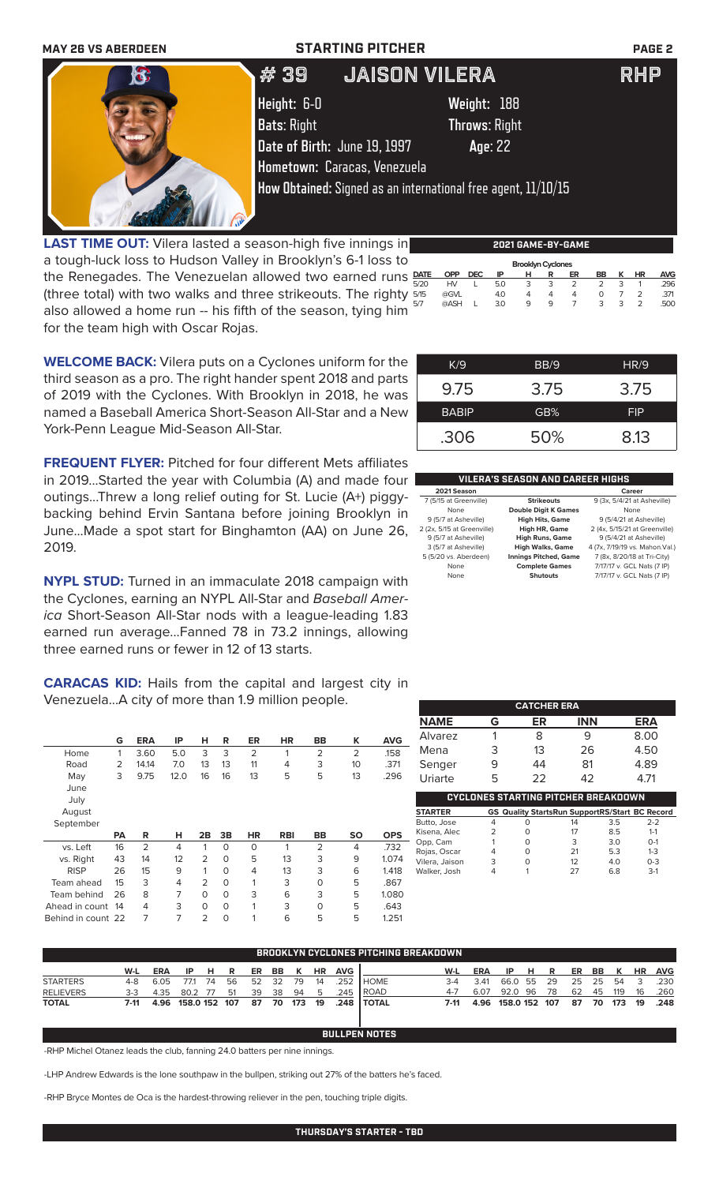

**LAST TIME OUT:** Vilera lasted a season-high five innings in a tough-luck loss to Hudson Valley in Brooklyn's 6-1 loss to the Renegades. The Venezuelan allowed two earned runs **DATE** (three total) with two walks and three strikeouts. The righty also allowed a home run -- his fifth of the season, tying him for the team high with Oscar Rojas.  **Brooklyn Cyclones DATE OPP DEC IP H R ER BB K HR AVG** 5/20 HV L 5.0 3 3 2 2 3 1 .296 5/15 @GVL 4.0 4 4 4 0 7 2 .371 5/7 @ASH L 3.0 9 9 7 3 3 2 .500

| K/9          | BB/9 | HR/9       |
|--------------|------|------------|
| 9.75         | 3.75 | 3.75       |
| <b>BABIP</b> | GB%  | <b>FIP</b> |
| .306         | 50%  | 8.13       |

### **VILERA'S SEASON AND CAREER HIGHS**

| 2021 Season                |                              | Career                          |
|----------------------------|------------------------------|---------------------------------|
| 7 (5/15 at Greenville)     | <b>Strikeouts</b>            | 9 (3x, 5/4/21 at Asheville)     |
| None                       | <b>Double Digit K Games</b>  | None                            |
| 9 (5/7 at Asheville)       | <b>High Hits, Game</b>       | 9 (5/4/21 at Asheville)         |
| 2 (2x, 5/15 at Greenville) | <b>High HR, Game</b>         | 2 (4x, 5/15/21 at Greenville)   |
| 9 (5/7 at Asheville)       | <b>High Runs, Game</b>       | 9 (5/4/21 at Asheville)         |
| 3 (5/7 at Asheville)       | <b>High Walks, Game</b>      | 4 (7x, 7/19/19 vs. Mahon. Val.) |
| 5 (5/20 vs. Aberdeen)      | <b>Innings Pitched, Game</b> | 7 (8x, 8/20/18 at Tri-City)     |
| None                       | <b>Complete Games</b>        | 7/17/17 v. GCL Nats (7 IP)      |
| None                       | <b>Shutouts</b>              | 7/17/17 v. GCL Nats (7 IP)      |
|                            |                              |                                 |

|             |   | <b>CATCHER ERA</b> |            |            |
|-------------|---|--------------------|------------|------------|
| <b>NAME</b> | G | ER                 | <b>INN</b> | <b>ERA</b> |

|                                            |   | ----------- |            |                                                                                                                                                                                                                                                                                                                                                                        |  |  |
|--------------------------------------------|---|-------------|------------|------------------------------------------------------------------------------------------------------------------------------------------------------------------------------------------------------------------------------------------------------------------------------------------------------------------------------------------------------------------------|--|--|
| <b>NAME</b>                                | G | ER          | <b>INN</b> | <b>ERA</b>                                                                                                                                                                                                                                                                                                                                                             |  |  |
| Alvarez                                    |   | 8           |            | 8.00                                                                                                                                                                                                                                                                                                                                                                   |  |  |
| Mena                                       | З | 13          | 26         | 4.50                                                                                                                                                                                                                                                                                                                                                                   |  |  |
| Senger                                     | 9 | 44          | 81         | 4.89                                                                                                                                                                                                                                                                                                                                                                   |  |  |
| Uriarte                                    | 5 | 22          | 42         | 4.71                                                                                                                                                                                                                                                                                                                                                                   |  |  |
| <b>CYCLONES STARTING PITCHER BREAKDOWN</b> |   |             |            |                                                                                                                                                                                                                                                                                                                                                                        |  |  |
| ~~*~~~~                                    |   |             |            | $\alpha \alpha$ $\alpha$ . In $\alpha$ $\alpha$ $\alpha$ , $\alpha$ $\alpha$ , $\alpha$ $\alpha$ , $\alpha$ $\alpha$ $\alpha$ , $\alpha$ , $\alpha$ , $\alpha$ , $\alpha$ , $\alpha$ , $\alpha$ , $\alpha$ , $\alpha$ , $\alpha$ , $\alpha$ , $\alpha$ , $\alpha$ , $\alpha$ , $\alpha$ , $\alpha$ , $\alpha$ , $\alpha$ , $\alpha$ , $\alpha$ , $\alpha$ , $\alpha$ , |  |  |

| <b>STARTER</b> |   | <b>GS Quality StartsRun SupportRS/Start BC Record</b> |    |     |         |
|----------------|---|-------------------------------------------------------|----|-----|---------|
| Butto, Jose    | 4 |                                                       | 14 | 3.5 | $2-2$   |
| Kisena, Alec   |   |                                                       | 17 | 8.5 | $1 - 1$ |
| Opp, Cam       |   |                                                       | 3  | 3.0 | $O-1$   |
| Rojas, Oscar   | 4 |                                                       | 21 | 5.3 | $1 - 3$ |
| Vilera, Jaison | 3 |                                                       | 12 | 4.0 | $0 - 3$ |
| Walker, Josh   | 4 |                                                       | 27 | 6.8 | $3-1$   |
|                |   |                                                       |    |     |         |

| <b>BROOKLYN CYCLONES PITCHING BREAKDOWN</b> |     |  |  |    |                                                  |      |    |          |                                                       |                       |                                            |      |        |    |                               |  |                    |                                                                    |
|---------------------------------------------|-----|--|--|----|--------------------------------------------------|------|----|----------|-------------------------------------------------------|-----------------------|--------------------------------------------|------|--------|----|-------------------------------|--|--------------------|--------------------------------------------------------------------|
| W-L                                         | ERA |  |  |    |                                                  |      |    |          |                                                       |                       | W-L                                        | ERA  |        |    |                               |  |                    |                                                                    |
|                                             |     |  |  |    |                                                  |      |    |          |                                                       |                       | $3-4$                                      |      |        |    |                               |  |                    | .230                                                               |
|                                             |     |  |  | 51 | 39                                               | - 38 | 94 |          |                                                       |                       | $4 - 7$                                    | 6.07 |        | 78 | 62                            |  | - 16               | .260                                                               |
|                                             |     |  |  |    |                                                  |      |    |          |                                                       |                       |                                            |      |        |    |                               |  |                    |                                                                    |
|                                             |     |  |  |    |                                                  |      |    |          |                                                       |                       |                                            |      |        |    |                               |  |                    |                                                                    |
|                                             |     |  |  |    | IP HR<br>4-8 6.05 77.1 74 56<br>3-3 4.35 80.2 77 |      |    | 52 32 79 | ER BB K<br>14<br>7-11 4.96 158.0 152 107 87 70 173 19 | <b>HR AVG</b><br>$-5$ | .252   HOME<br>.245   ROAD<br>.248   TOTAL |      | - 3.41 |    | IPHR<br>66.0 55 29<br>92.0 96 |  | 25 25 54<br>45 119 | ER BB K HR AVG<br>- 3<br>7-11 4.96 158.0 152 107 87 70 173 19 .248 |

**BULLPEN NOTES**

-RHP Michel Otanez leads the club, fanning 24.0 batters per nine innings.

-LHP Andrew Edwards is the lone southpaw in the bullpen, striking out 27% of the batters he's faced.

-RHP Bryce Montes de Oca is the hardest-throwing reliever in the pen, touching triple digits.

**WELCOME BACK:** Vilera puts on a Cyclones uniform for the third season as a pro. The right hander spent 2018 and parts of 2019 with the Cyclones. With Brooklyn in 2018, he was

named a Baseball America Short-Season All-Star and a New York-Penn League Mid-Season All-Star. **FREQUENT FLYER:** Pitched for four different Mets affiliates in 2019...Started the year with Columbia (A) and made four

outings...Threw a long relief outing for St. Lucie (A+) piggybacking behind Ervin Santana before joining Brooklyn in June...Made a spot start for Binghamton (AA) on June 26, 2019.

**NYPL STUD:** Turned in an immaculate 2018 campaign with the Cyclones, earning an NYPL All-Star and *Baseball America* Short-Season All-Star nods with a league-leading 1.83 earned run average...Fanned 78 in 73.2 innings, allowing three earned runs or fewer in 12 of 13 starts.

**CARACAS KID:** Hails from the capital and largest city in Venezuela...A city of more than 1.9 million people.

|                | G         | <b>ERA</b>     | IP   | н              | R        | <b>ER</b>      | <b>HR</b>  | BB             | к              | <b>AVG</b> |
|----------------|-----------|----------------|------|----------------|----------|----------------|------------|----------------|----------------|------------|
| Home           | 1         | 3.60           | 5.0  | 3              | 3        | $\overline{2}$ | 1          | $\overline{2}$ | $\overline{2}$ | .158       |
| Road           | 2         | 14.14          | 7.0  | 13             | 13       | 11             | 4          | 3              | 10             | .371       |
| May            | 3         | 9.75           | 12.0 | 16             | 16       | 13             | 5          | 5              | 13             | .296       |
| June           |           |                |      |                |          |                |            |                |                |            |
| July           |           |                |      |                |          |                |            |                |                |            |
| August         |           |                |      |                |          |                |            |                |                |            |
| September      |           |                |      |                |          |                |            |                |                |            |
|                |           |                |      |                |          |                |            |                |                |            |
|                | <b>PA</b> | R              | н    | 2B             | 3B       | <b>HR</b>      | <b>RBI</b> | BB             | <b>SO</b>      | <b>OPS</b> |
| vs. Left       | 16        | $\overline{2}$ | 4    | 1              | $\Omega$ | $\Omega$       | 1          | 2              | 4              | .732       |
| vs. Right      | 43        | 14             | 12   | $\overline{2}$ | O        | 5              | 13         | 3              | 9              | 1.074      |
| <b>RISP</b>    | 26        | 15             | 9    | 1              | O        | 4              | 13         | 3              | 6              | 1.418      |
| Team ahead     | 15        | 3              | 4    | $\overline{2}$ | O        | 1              | 3          | $\Omega$       | 5              | .867       |
| Team behind    | 26        | 8              | 7    | $\Omega$       | O        | 3              | 6          | 3              | 5              | 1.080      |
| Ahead in count | 14        | 4              | 3    | $\Omega$       | O        | 1              | 3          | $\Omega$       | 5              | .643       |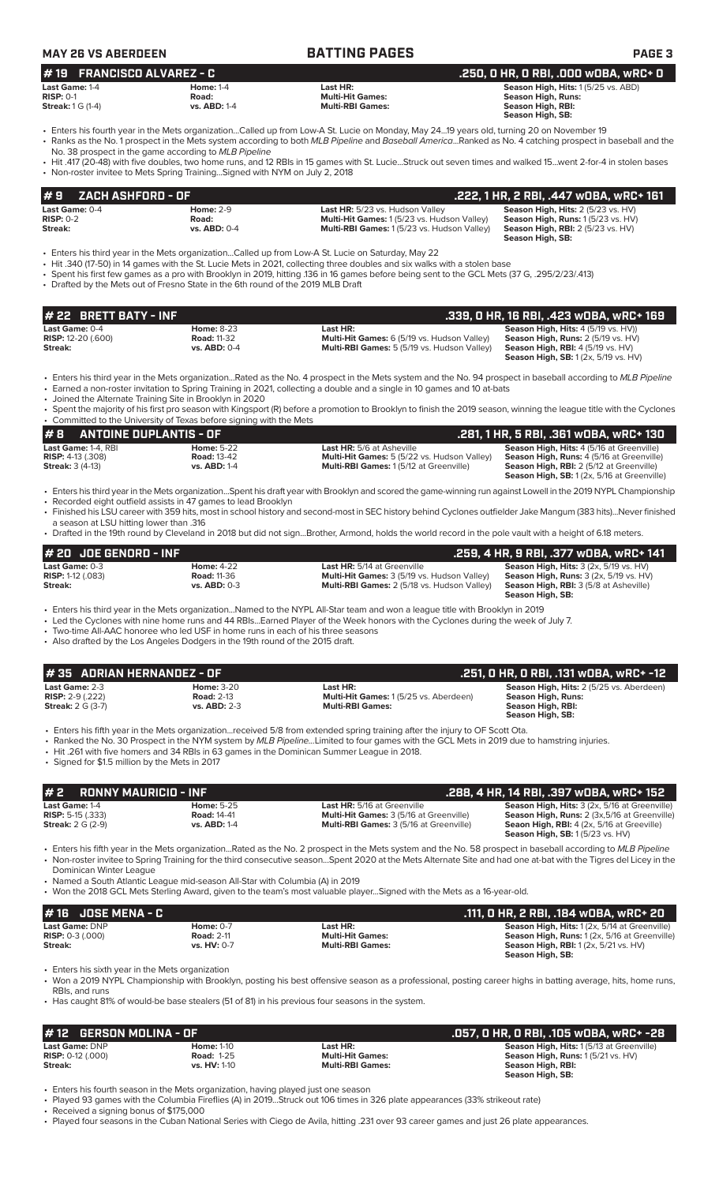### **MAY 26 VS ABERDEEN BATTING PAGES PAGE 3 # 22 BRETT BATY - INF .339, 0 HR, 16 RBI, .423 wOBA, wRC+ 169 Last Game:** 0-4 **Home:** 8-23 **Last HR: Season High, Hits:** 4 (5/19 vs. HV)) **RISP:** 12-20 (.600) **Road:** 11-32 **Multi-Hit Games:** 6 (5/19 vs. Hudson Valley) **Season High, Runs:** 2 (5/19 vs. HV) **Multi-RBI Games:** 5 (5/19 vs. Hudson Valley) **Multi-RBI Games:** 5 (5/19 vs. Hudson Valley) **Season High, SB:** 1 (2x, 5/19 vs. HV) • Enters his third year in the Mets organization...Rated as the No. 4 prospect in the Mets system and the No. 94 prospect in baseball according to *MLB Pipeline* • Earned a non-roster invitation to Spring Training in 2021, collecting a double and a single in 10 games and 10 at-bats • Joined the Alternate Training Site in Brooklyn in 2020 • Spent the majority of his first pro season with Kingsport (R) before a promotion to Brooklyn to finish the 2019 season, winning the league title with the Cyclones • Committed to the University of Texas before signing with the Mets **# 2 RONNY MAURICIO - INF .288, 4 HR, 14 RBI, .397 wOBA, wRC+ 152 Last Game: 1-4 Home: 5-25 Last HR:** 5/16 at Greenville **Season High, Hits:** 3 (2x, 5/16 at Greenville) **Season High, Hits:** 3 (2x, 5/16 at Greenville) **RISP:** 5-15 (333) **RISP:** 5-15 (.333) **Road:** 14-41 **Multi-Hit Games:** 3 (5/16 at Greenville) **Season High, Runs:** 2 (3x,5/16 at Greenville) **Streak:** 2 G (2-9) **vs. ABD:** 1-4 **Multi-RBI Games:** 3 (5/16 at Greenville) **Seaon High, RBI:** 4 (2x, 5/16 at Greeville) **Season High, SB:** 1 (5/23 vs. HV) • Enters his fifth year in the Mets organization...Rated as the No. 2 prospect in the Mets system and the No. 58 prospect in baseball according to *MLB Pipeline* • Non-roster invitee to Spring Training for the third consecutive season...Spent 2020 at the Mets Alternate Site and had one at-bat with the Tigres del Licey in the Dominican Winter League • Named a South Atlantic League mid-season All-Star with Columbia (A) in 2019 • Won the 2018 GCL Mets Sterling Award, given to the team's most valuable player...Signed with the Mets as a 16-year-old. **# 8** ANTOINE DUPLANTIS - OF<br>
Last HR: 5/6 at Asheville (1891, 1 HR, 5 RBI, 1361 wOBA, wRC+ 130<br>
RISP: 4-13 (.308) Road: 13-42 RISP: 4-13 (.308) Road: 13-42 Multi-Hit Games: 5 (5/22 vs. Hudson Valley) Season High, Runs: 4 **Last Game:** 1-4, RBI **Home:** 5-22 **Last HR:** 5/6 at Asheville **Season High, Hits:** 4 (5/16 at Greenville) **RISP:** 4-13 (.308) **Road:** 13-42 **Multi-Hit Games:** 5 (5/22 vs. Hudson Valley) **Season High, Runs:** 4 (5/16 at Greenville) **Streak:** 3 (4-13) **vs. ABD:** 1-4 **Multi-RBI Games:** 1 (5/12 at Greenville) **Season High, RBI:** 2 (5/12 at Greenville) **Season High, SB:** 1 (2x, 5/16 at Greenville) • Enters his third year in the Mets organization...Spent his draft year with Brooklyn and scored the game-winning run against Lowell in the 2019 NYPL Championship Recorded eight outfield assists in 47 games to lead Brooklyn • Finished his LSU career with 359 hits, most in school history and second-most in SEC history behind Cyclones outfielder Jake Mangum (383 hits)...Never finished a season at LSU hitting lower than .316 • Drafted in the 19th round by Cleveland in 2018 but did not sign...Brother, Armond, holds the world record in the pole vault with a height of 6.18 meters. **# 20 JOE GENORD - INF**<br>**Last HR:** 5/14 at Greenville **.259, 4 HR, 9 RBI, .377 wOBA, wRC+ 141**<br>RISP: 1-12 (.083) **.259, AISP: 1-12 (.083)** Road: 11-36 **Risp: 1-12 (.083)** Road: 11-36 **RISP: 1-12 (.083) Risp: 3 (2x, 5/19 Last Game:** 0-3 **Home:** 4-22 **Last HR:** 5/14 at Greenville **Season High, Hits:** 3 (2x, 5/19 vs. HV) **RISP:** 1-12 (.083) **Road:** 11-36 **Multi-Hit Games:** 3 (5/19 vs. Hudson Valley) **Season High, Runs:** 3 (2x, 5/19 vs. HV) **Streak: vs. ABD:** 0-3 **Multi-RBI Games:** 2 (5/18 vs. Hudson Valley) **Season High, RBI:** 3 (5/8 at Asheville) **Season High, SB:**  • Enters his third year in the Mets organization...Named to the NYPL All-Star team and won a league title with Brooklyn in 2019 • Led the Cyclones with nine home runs and 44 RBIs...Earned Player of the Week honors with the Cyclones during the week of July 7. Two-time All-AAC honoree who led USF in home runs in each of his three seasons • Also drafted by the Los Angeles Dodgers in the 19th round of the 2015 draft. **# 16 JOSE MENA - C .111, 0 HR, 2 RBI, .184 wOBA, wRC+ 20 Last Game:** DNP **Home:** 0-7 **Last HR: Season High, Hits:** 1 (2x, 5/14 at Greenville) **RISP:** 0-3 (.000) **Road: 2-11 <b>Road: 2-11 Multi-Hit Games: Season High, Runs: 1 (2**x, 5/16 at Greenville) **Streak: vs. HV:** 0-7 **Multi-RBI Games: Season High, RBI:** 1 (2x, 5/21 vs. HV) **Season High, SB:**  • Enters his sixth year in the Mets organization • Won a 2019 NYPL Championship with Brooklyn, posting his best offensive season as a professional, posting career highs in batting average, hits, home runs, RBIs, and runs • Has caught 81% of would-be base stealers (51 of 81) in his previous four seasons in the system. **# 12 GERSON MOLINA - OF .057, 0 HR, 0 RBI, .105 wOBA, wRC+ -28 Last Game: DNP Home:** 1-10 **Last HR: Season High, Hits:** 1 (5/13 at Greenville) **RISP:** 0-12 (000) **Righ, Hits: 1 (5/21 vs. HV) RISP:** 0-12 (.000) **Road:** 1-25 **Multi-Hit Games: Season High, Runs:** 1 (5/21 vs. HV) Last Game: 2-3 **Home: 3-20 Last HR: Last HR: Season High, Hits:** 2 (5/25 vs. Aberdeen)<br> **RISP:** 2-9 (.222) **Road:** 2-13 **Multi-Hit Games:** 1 (5/25 vs. Aberdeen) **Season High, Runs: RISP:** 2-9 (.222) **Road: 2-13 <b>Road: 2-13 Multi-Hit Games:** 1 (5/25 vs. Aberdeen) **Streak: 2** G (3-7) **Streak: 2 G** (3-7)  $S$ eason High, RBI: **Season High, SB:**  • Enters his fifth year in the Mets organization...received 5/8 from extended spring training after the injury to OF Scott Ota. • Ranked the No. 30 Prospect in the NYM system by *MLB Pipeline...*Limited to four games with the GCL Mets in 2019 due to hamstring injuries. • Hit .261 with five homers and 34 RBIs in 63 games in the Dominican Summer League in 2018. • Signed for \$1.5 million by the Mets in 2017 **# 35 ADRIAN HERNANDEZ - OF .251, 0 HR, 0 RBI, .131 wOBA, wRC+ -12 Last Game:** 0-4 **Home:** 2-9 **Last HR:** 5/23 vs. Hudson Valley **Season High, Hits:** 2 (5/23 vs. HV) **RISP:** 0-2 **Road: Multi-Hit Games:** 1 (5/23 vs. Hudson Valley) **Season High, Runs:** 1 (5/23 vs. HV) **Streak: vs. ABD:** 0-4 **Multi-RBI Games:** 1 (5/23 vs. Hudson Valley) **Season High, RBI:** 2 (5/23 vs. HV) **Season High, SB:**  • Enters his third year in the Mets organization...Called up from Low-A St. Lucie on Saturday, May 22 • Hit .340 (17-50) in 14 games with the St. Lucie Mets in 2021, collecting three doubles and six walks with a stolen base • Spent his first few games as a pro with Brooklyn in 2019, hitting .136 in 16 games before being sent to the GCL Mets (37 G, .295/2/23/.413) • Drafted by the Mets out of Fresno State in the 6th round of the 2019 MLB Draft **# 9 ZACH ASHFORD - OF .222, 1 HR, 2 RBI, .447 wOBA, wRC+ 161 Last Game:** 1-4 **Home:** 1-4 **Last HR: Season High, Hits:** 1 (5/25 vs. ABD) **RISP:** 0-1 **Road: Multi-Hit Games: Season High, Runs:**   $S$ eason High, RBI: **Season High, SB:**  • Enters his fourth year in the Mets organization...Called up from Low-A St. Lucie on Monday, May 24...19 years old, turning 20 on November 19 • Ranks as the No. 1 prospect in the Mets system according to both *MLB Pipeline* and *Baseball America*...Ranked as No. 4 catching prospect in baseball and the No. 38 prospect in the game according to *MLB Pipeline* • Hit .417 (20-48) with five doubles, two home runs, and 12 RBIs in 15 games with St. Lucie...Struck out seven times and walked 15...went 2-for-4 in stolen bases • Non-roster invitee to Mets Spring Training...Signed with NYM on July 2, 2018 **# 19 FRANCISCO ALVAREZ - C .250, 0 HR, 0 RBI, .000 wOBA, wRC+ 0**

• Enters his fourth season in the Mets organization, having played just one season

• Played 93 games with the Columbia Fireflies (A) in 2019...Struck out 106 times in 326 plate appearances (33% strikeout rate)

• Received a signing bonus of \$175,000

• Played four seasons in the Cuban National Series with Ciego de Avila, hitting .231 over 93 career games and just 26 plate appearances.

**Streak: vs. HV:** 1-10 **Multi-RBI Games: Season High, RBI: Season High, SB:**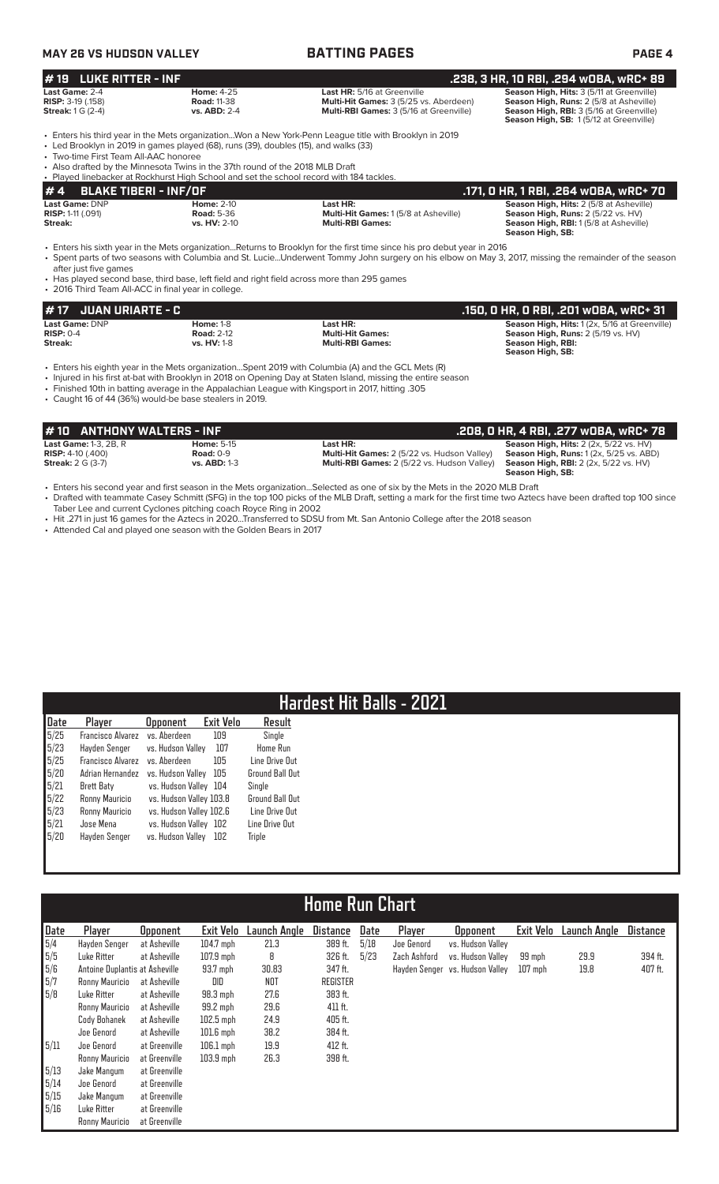# **MAY 26 VS HUDSON VALLEY BATTING PAGES PAGE 4**

| <b>LUKE RITTER - INF</b><br>#19                                               |                                                                                                                                                                                                                                                                   |                                                                                                                                                                                                                                                                                                                                                                                                                           | .238, 3 HR, 10 RBI, .294 w0BA, wRC+ 89                                                                                                                                     |
|-------------------------------------------------------------------------------|-------------------------------------------------------------------------------------------------------------------------------------------------------------------------------------------------------------------------------------------------------------------|---------------------------------------------------------------------------------------------------------------------------------------------------------------------------------------------------------------------------------------------------------------------------------------------------------------------------------------------------------------------------------------------------------------------------|----------------------------------------------------------------------------------------------------------------------------------------------------------------------------|
| Last Game: 2-4<br>RISP: 3-19 (.158)<br><b>Streak:</b> 1 G (2-4)               | <b>Home: 4-25</b><br><b>Road: 11-38</b><br>vs. ABD: 2-4                                                                                                                                                                                                           | Last HR: 5/16 at Greenville<br>Multi-Hit Games: 3 (5/25 vs. Aberdeen)<br>Multi-RBI Games: 3 (5/16 at Greenville)                                                                                                                                                                                                                                                                                                          | Season High, Hits: 3 (5/11 at Greenville)<br>Season High, Runs: 2 (5/8 at Asheville)<br>Season High, RBI: 3 (5/16 at Greenville)<br>Season High, SB: 1(5/12 at Greenville) |
| • Two-time First Team All-AAC honoree                                         | • Led Brooklyn in 2019 in games played (68), runs (39), doubles (15), and walks (33)<br>• Also drafted by the Minnesota Twins in the 37th round of the 2018 MLB Draft<br>• Played linebacker at Rockhurst High School and set the school record with 184 tackles. | • Enters his third year in the Mets organizationWon a New York-Penn League title with Brooklyn in 2019                                                                                                                                                                                                                                                                                                                    |                                                                                                                                                                            |
| #4<br><b>BLAKE TIBERI - INF/OF</b>                                            |                                                                                                                                                                                                                                                                   |                                                                                                                                                                                                                                                                                                                                                                                                                           | .171, 0 HR, 1 RBI, .264 w0BA, wRC+ 70                                                                                                                                      |
| <b>Last Game: DNP</b><br><b>RISP: 1-11 (.091)</b><br>Streak:                  | <b>Home: 2-10</b><br><b>Road: 5-36</b><br>$vs. HV: 2-10$                                                                                                                                                                                                          | Last HR:<br>Multi-Hit Games: 1 (5/8 at Asheville)<br><b>Multi-RBI Games:</b>                                                                                                                                                                                                                                                                                                                                              | Season High, Hits: 2 (5/8 at Asheville)<br>Season High, Runs: 2 (5/22 vs. HV)<br>Season High, RBI: 1(5/8 at Asheville)<br>Season High, SB:                                 |
| after just five games<br>• 2016 Third Team All-ACC in final year in college.  | • Has played second base, third base, left field and right field across more than 295 games                                                                                                                                                                       | • Enters his sixth year in the Mets organizationReturns to Brooklyn for the first time since his pro debut year in 2016<br>• Spent parts of two seasons with Columbia and St. LucieUnderwent Tommy John surgery on his elbow on May 3, 2017, missing the remainder of the season                                                                                                                                          |                                                                                                                                                                            |
| <b>JUAN URIARTE - C</b><br>#17                                                |                                                                                                                                                                                                                                                                   |                                                                                                                                                                                                                                                                                                                                                                                                                           | .150, 0 HR, 0 RBI, .201 w0BA, wRC+ 31                                                                                                                                      |
| Last Game: DNP<br>$RISP: 0-4$<br>Streak:                                      | <b>Home: 1-8</b><br><b>Road: 2-12</b><br>vs. HV: 1-8                                                                                                                                                                                                              | Last HR:<br><b>Multi-Hit Games:</b><br><b>Multi-RBI Games:</b>                                                                                                                                                                                                                                                                                                                                                            | Season High, Hits: 1 (2x, 5/16 at Greenville)<br>Season High, Runs: 2 (5/19 vs. HV)<br>Season High, RBI:<br>Season High, SB:                                               |
|                                                                               | • Caught 16 of 44 (36%) would-be base stealers in 2019.                                                                                                                                                                                                           | • Enters his eighth year in the Mets organizationSpent 2019 with Columbia (A) and the GCL Mets (R)<br>• Injured in his first at-bat with Brooklyn in 2018 on Opening Day at Staten Island, missing the entire season<br>. Finished 10th in batting average in the Appalachian League with Kingsport in 2017, hitting .305                                                                                                 |                                                                                                                                                                            |
| #10                                                                           | <b>ANTHONY WALTERS - INF</b>                                                                                                                                                                                                                                      |                                                                                                                                                                                                                                                                                                                                                                                                                           | .208, 0 HR, 4 RBI, .277 w0BA, wRC+ 78                                                                                                                                      |
| <b>Last Game: 1-3, 2B, R</b><br>RISP: 4-10 (.400)<br><b>Streak: 2 G (3-7)</b> | <b>Home: 5-15</b><br>Road: $0-9$<br>vs. ABD: 1-3                                                                                                                                                                                                                  | Last HR:<br>Multi-Hit Games: 2 (5/22 vs. Hudson Valley)<br>Multi-RBI Games: 2 (5/22 vs. Hudson Valley)                                                                                                                                                                                                                                                                                                                    | Season High, Hits: 2 (2x, 5/22 vs. HV)<br>Season High, Runs: 1 (2x, 5/25 vs. ABD)<br>Season High, RBI: 2 (2x, 5/22 vs. HV)<br>Season High, SB:                             |
|                                                                               | Taber Lee and current Cyclones pitching coach Royce Ring in 2002<br>• Attended Cal and played one season with the Golden Bears in 2017                                                                                                                            | • Enters his second year and first season in the Mets organizationSelected as one of six by the Mets in the 2020 MLB Draft<br>• Drafted with teammate Casey Schmitt (SFG) in the top 100 picks of the MLB Draft, setting a mark for the first time two Aztecs have been drafted top 100 since<br>• Hit .271 in just 16 games for the Aztecs in 2020Transferred to SDSU from Mt. San Antonio College after the 2018 season |                                                                                                                                                                            |

# **Hardest Hit Balls - 2021**

| Date | Player                   | <b>Opponent</b>         | Exit Velo | Result          |
|------|--------------------------|-------------------------|-----------|-----------------|
| 5/25 | Francisco Alvarez        | vs. Aberdeen            | 109       | Single          |
| 5/23 | Hayden Senger            | vs. Hudson Valley       | 107       | <b>Home Run</b> |
| 5/25 | <b>Francisco Alvarez</b> | vs. Aberdeen            | 105       | Line Drive Out  |
| 5/20 | Adrian Hernandez         | vs. Hudson Valley       | 105       | Ground Ball Out |
| 5/21 | Brett Baty               | vs. Hudson Valley       | 104       | Single          |
| 5/22 | Ronny Mauricio           | vs. Hudson Valley 103.8 |           | Ground Ball Out |
| 5/23 | Ronny Mauricio           | vs. Hudson Valley 102.6 |           | Line Drive Out  |
| 5/21 | Jose Mena                | vs. Hudson Valley       | 102       | Line Drive Out  |
| 5/20 | Hayden Senger            | vs. Hudson Valley       | 102       | Triple          |
|      |                          |                         |           |                 |

# **Home Run Chart**

| Date | Plaver                         | <b>Opponent</b> | Exit Velo   | Launch Anole | Distance        | Date | Player       | <b>Opponent</b>                 | Exit Velo | Launch Angle | <b>Distance</b> |
|------|--------------------------------|-----------------|-------------|--------------|-----------------|------|--------------|---------------------------------|-----------|--------------|-----------------|
| 5/4  | Hayden Senger                  | at Asheville    | $104.7$ mph | 21.3         | 389 ft.         | 5/18 | Joe Genord   | vs. Hudson Valley               |           |              |                 |
| 5/5  | Luke Ritter                    | at Asheville    | $107.9$ mph | 8            | 326 ft.         | 5/23 | Zach Ashford | vs. Hudson Vallev               | 99 mph    | 29.9         | 394 ft.         |
| 5/6  | Antoine Duplantis at Asheville |                 | 93.7 mph    | 30.83        | 347 ft.         |      |              | Hayden Senger vs. Hudson Valley | $107$ mph | 19.8         | 407 ft.         |
| 5/7  | Ronny Mauricio                 | at Asheville    | DID         | NOT          | <b>REGISTER</b> |      |              |                                 |           |              |                 |
| 5/8  | Luke Ritter                    | at Asheville    | 98.3 mph    | 27.6         | 383 ft.         |      |              |                                 |           |              |                 |
|      | Ronny Mauricio                 | at Asheville    | 99.2 mph    | 29.6         | 411 ft.         |      |              |                                 |           |              |                 |
|      | Cody Bohanek                   | at Asheville    | $102.5$ mph | 24.9         | 405 ft.         |      |              |                                 |           |              |                 |
|      | Joe Genord                     | at Asheville    | $101.6$ mph | 38.2         | 384 ft.         |      |              |                                 |           |              |                 |
| 5/11 | Joe Genord                     | at Greenville   | $106.1$ mph | 19.9         | 412 ft.         |      |              |                                 |           |              |                 |
|      | Ronny Mauricio                 | at Greenville   | $103.9$ mph | 26.3         | 398 ft.         |      |              |                                 |           |              |                 |
| 5/13 | Jake Mangum                    | at Greenville   |             |              |                 |      |              |                                 |           |              |                 |
| 5/14 | Joe Genord                     | at Greenville   |             |              |                 |      |              |                                 |           |              |                 |
| 5/15 | Jake Mangum                    | at Greenville   |             |              |                 |      |              |                                 |           |              |                 |
| 5/16 | Luke Ritter                    | at Greenville   |             |              |                 |      |              |                                 |           |              |                 |
|      | Ronny Mauricio                 | at Greenville   |             |              |                 |      |              |                                 |           |              |                 |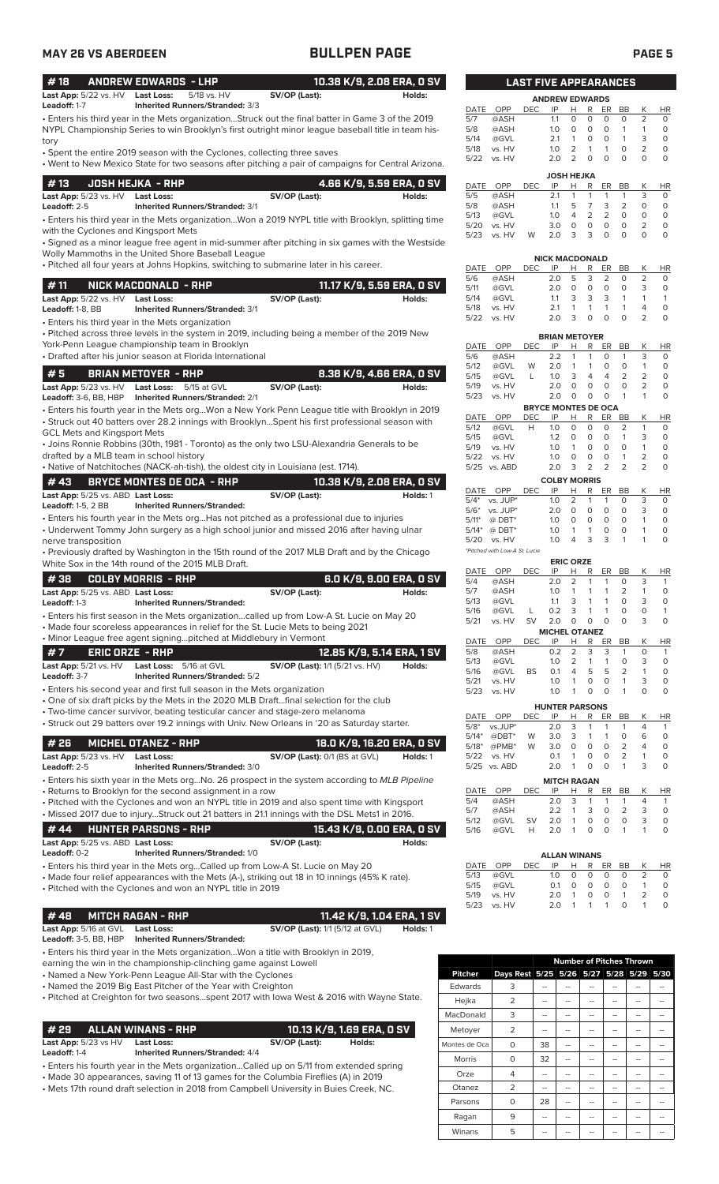| ٨<br>and the state of the state of the state of the state of the state of the state of the state of the state of th |  |
|---------------------------------------------------------------------------------------------------------------------|--|
|---------------------------------------------------------------------------------------------------------------------|--|

| <b>MAY 26 VS ABERDEEN</b>                         |                                                                                                                                                                                                   | <b>BULLPEN PAGE</b>                    |                                       |                   |                                      |            |                                         |                                                             |                              |                              |                                  | <b>PAGE 5</b>             |
|---------------------------------------------------|---------------------------------------------------------------------------------------------------------------------------------------------------------------------------------------------------|----------------------------------------|---------------------------------------|-------------------|--------------------------------------|------------|-----------------------------------------|-------------------------------------------------------------|------------------------------|------------------------------|----------------------------------|---------------------------|
| #18                                               | <b>ANDREW EDWARDS - LHP</b>                                                                                                                                                                       |                                        | 10.38 K/9, 2.08 ERA, 0 SV             |                   |                                      |            | <b>LAST FIVE APPEARANCES</b>            |                                                             |                              |                              |                                  |                           |
| Last App: 5/22 vs. HV Last Loss:<br>Leadoff: 1-7  | 5/18 vs. HV<br>Inherited Runners/Stranded: 3/3                                                                                                                                                    | SV/OP (Last):                          | Holds:                                |                   |                                      |            | <b>ANDREW EDWARDS</b>                   |                                                             |                              |                              |                                  |                           |
|                                                   | Enters his third year in the Mets organizationStruck out the final batter in Game 3 of the 2019                                                                                                   |                                        |                                       | DATE<br>5/7       | OPP<br>@ASH                          | <b>DEC</b> | IP<br>1.1                               | H<br>R<br>0<br>$\circ$                                      | ER<br>$\circ$                | BB<br>0                      | К<br>2                           | HR<br>$\circ$             |
| tory                                              | NYPL Championship Series to win Brooklyn's first outright minor league baseball title in team his-                                                                                                |                                        |                                       | 5/8<br>5/14       | @ASH<br>@GVL                         |            | 1.0 <sub>1</sub><br>2.1                 | $\circ$<br>$\circ$<br>$\mathbf{1}$<br>0                     | $\circ$<br>$\circ$           | $\mathbf{1}$<br>$\mathbf{1}$ | 1<br>3                           | $\circ$<br>$\circ$        |
|                                                   | • Spent the entire 2019 season with the Cyclones, collecting three saves<br>• Went to New Mexico State for two seasons after pitching a pair of campaigns for Central Arizona.                    |                                        |                                       | 5/18<br>5/22      | vs. HV<br>vs. HV                     |            | 1.0<br>2.0                              | $\overline{2}$<br>$\mathbf{1}$<br>$\overline{2}$<br>$\circ$ | $\mathbf{1}$<br>$\circ$      | $\circ$<br>$\Omega$          | 2<br>$\Omega$                    | $\circ$<br>$\circ$        |
| #13                                               |                                                                                                                                                                                                   |                                        |                                       |                   |                                      |            | <b>JOSH HEJKA</b>                       |                                                             |                              |                              |                                  |                           |
| Last App: 5/23 vs. HV Last Loss:                  | <b>JOSH HEJKA - RHP</b>                                                                                                                                                                           | SV/OP (Last):                          | 4.66 K/9, 5.59 ERA, 0 SV<br>Holds:    | 5/5               | DATE OPP<br>@ASH                     | <b>DEC</b> | IP<br>2.1                               | Н<br>R<br>$\mathbf{1}$<br>$\mathbf{1}$                      | ER<br>$\mathbf{1}$           | BB<br>$\mathbf{1}$           | К<br>3                           | <b>HR</b><br>$\circ$      |
| Leadoff: 2-5                                      | <b>Inherited Runners/Stranded: 3/1</b>                                                                                                                                                            |                                        |                                       | 5/8<br>5/13       | @ASH<br>@GVL                         |            | 1.1<br>1.0                              | 5<br>7<br>$\overline{2}$<br>4                               | 3<br>2                       | 2<br>$\circ$                 | 0<br>$\circ$                     | $\circ$<br>$\circ$        |
| with the Cyclones and Kingsport Mets              | . Enters his third year in the Mets organizationWon a 2019 NYPL title with Brooklyn, splitting time                                                                                               |                                        |                                       | 5/20<br>5/23      | vs. HV<br>vs. HV                     | W          | 3.0<br>2.0                              | $\circ$<br>0<br>3<br>3                                      | $\circ$<br>$\Omega$          | $\circ$<br>$\Omega$          | 2<br>$\Omega$                    | $\circ$<br>$\circ$        |
|                                                   | · Signed as a minor league free agent in mid-summer after pitching in six games with the Westside<br>Wolly Mammoths in the United Shore Baseball League                                           |                                        |                                       |                   |                                      |            |                                         |                                                             |                              |                              |                                  |                           |
|                                                   | . Pitched all four years at Johns Hopkins, switching to submarine later in his career.                                                                                                            |                                        |                                       | DATE              | OPP                                  | DEC        | <b>NICK MACDONALD</b><br>IP             | R<br>H                                                      | ER                           | BB                           | K                                | HR                        |
| #11                                               | NICK MACDONALD - RHP                                                                                                                                                                              |                                        | 11.17 K/9, 5.59 ERA, 0 SV             | 5/6<br>5/11       | @ASH<br>@GVL                         |            | 2.0<br>2.0                              | 5<br>3<br>$\circ$<br>0                                      | 2<br>$\circ$                 | 0<br>$\circ$                 | 2<br>3                           | 0<br>$\circ$              |
| Last App: 5/22 vs. HV Last Loss:                  |                                                                                                                                                                                                   | SV/OP (Last):                          | Holds:                                | 5/14              | @GVL                                 |            | 1.1                                     | 3<br>3                                                      | 3                            | $\mathbf{1}$                 | 1                                | $\mathbf{1}$              |
| Leadoff: 1-8, BB                                  | <b>Inherited Runners/Stranded: 3/1</b><br>• Enters his third year in the Mets organization                                                                                                        |                                        |                                       | 5/18<br>5/22      | vs. HV<br>vs. HV                     |            | 2.1<br>2.0                              | $\mathbf{1}$<br>$\mathbf{1}$<br>3<br>$\mathsf O$            | $\mathbf{1}$<br>$\circ$      | $\mathbf{1}$<br>$\circ$      | 4<br>2                           | $\circ$<br>$\circ$        |
|                                                   | · Pitched across three levels in the system in 2019, including being a member of the 2019 New                                                                                                     |                                        |                                       |                   |                                      |            | <b>BRIAN METOYER</b>                    |                                                             |                              |                              |                                  |                           |
|                                                   | York-Penn League championship team in Brooklyn<br>• Drafted after his junior season at Florida International                                                                                      |                                        |                                       | DATE<br>5/6       | OPP<br>@ASH                          | DEC.       | IP<br>2.2                               | н<br>R<br>$\mathbf{1}$<br>$\mathbf{1}$                      | ER<br>$\circ$                | BB<br>$\mathbf{1}$           | Κ<br>3                           | HR<br>$\circ$             |
| #5                                                | <b>BRIAN METOYER - RHP</b>                                                                                                                                                                        |                                        | 8.38 K/9, 4.66 ERA, 0 SV              | 5/12              | @GVL                                 | W          | 2.0                                     | $\overline{1}$<br>$\mathbf{1}$                              | $\circ$                      | $\circ$                      | $\mathbf{1}$                     | $\circ$                   |
|                                                   | Last App: 5/23 vs. HV Last Loss: 5/15 at GVL                                                                                                                                                      | SV/OP (Last):                          | Holds:                                | 5/15<br>5/19      | @GVL<br>vs. HV                       | L          | 1.0<br>2.0                              | 3<br>4<br>$\circ$<br>0                                      | $\overline{4}$<br>$\circ$    | $\overline{2}$<br>$\circ$    | $\overline{c}$<br>$\overline{2}$ | $\circ$<br>$\circ$        |
|                                                   | Leadoff: 3-6, BB, HBP    Inherited Runners/Stranded: 2/1                                                                                                                                          |                                        |                                       | 5/23              | vs. HV                               |            | 2.0<br><b>BRYCE MONTES DE OCA</b>       | $\circ$<br>$\circ$                                          | $\circ$                      | $\mathbf{1}$                 | 1                                | $\circ$                   |
|                                                   | · Enters his fourth year in the Mets orgWon a New York Penn League title with Brooklyn in 2019<br>• Struck out 40 batters over 28.2 innings with BrooklynSpent his first professional season with |                                        |                                       | DATE              | OPP                                  | <b>DEC</b> | IP                                      | R<br>H.                                                     | ER                           | BB<br>$\overline{2}$         | K<br>$\mathbf{1}$                | <b>HR</b><br>$\circ$      |
| <b>GCL Mets and Kingsport Mets</b>                |                                                                                                                                                                                                   |                                        |                                       | 5/12<br>5/15      | @GVL<br>@GVL                         | H          | 1.0<br>1.2                              | $\mathbf 0$<br>0<br>$\mathbf 0$<br>0                        | $\circ$<br>$\circ$           | $\mathbf{1}$                 | 3                                | $\circ$                   |
| drafted by a MLB team in school history           | • Joins Ronnie Robbins (30th, 1981 - Toronto) as the only two LSU-Alexandria Generals to be                                                                                                       |                                        |                                       | 5/19<br>5/22      | vs. HV<br>vs. HV                     |            | 1.0<br>1.0                              | $\circ$<br>$\mathbf{1}$<br>$\circ$<br>0                     | $\circ$<br>$\circ$           | $\circ$<br>$\mathbf{1}$      | $\mathbf{1}$<br>2                | $\circ$<br>$\circ$        |
|                                                   | • Native of Natchitoches (NACK-ah-tish), the oldest city in Louisiana (est. 1714).                                                                                                                |                                        |                                       |                   | 5/25 vs. ABD                         |            | 2.0                                     | 2<br>3                                                      | 2                            | 2                            | $\overline{2}$                   | $\circ$                   |
| #43<br>Last App: 5/25 vs. ABD Last Loss:          | <b>BRYCE MONTES DE OCA - RHP</b>                                                                                                                                                                  | SV/OP (Last):                          | 10.38 K/9, 2.08 ERA, 0 SV<br>Holds: 1 |                   | DATE OPP                             | DEC        | <b>COLBY MORRIS</b><br>IP               | H<br>R                                                      | ER                           | BB                           | К                                | HR                        |
| <b>Leadoff: 1-5, 2 BB</b>                         | <b>Inherited Runners/Stranded:</b>                                                                                                                                                                |                                        |                                       |                   | $5/4^*$ vs. JUP*<br>$5/6^*$ vs. JUP* |            | 1.0<br>2.0                              | 2<br>$\mathbf{1}$<br>$\circ$<br>0                           | $\mathbf{1}$<br>$\circ$      | 0<br>$\circ$                 | 3<br>3                           | 0<br>$\circ$              |
|                                                   | • Enters his fourth year in the Mets orgHas not pitched as a professional due to injuries<br>• Underwent Tommy John surgery as a high school junior and missed 2016 after having ulnar            |                                        |                                       | $5/11*$           | @ DBT*                               |            | 1.0                                     | $\mathsf O$<br>$\circ$<br>$\mathbf{1}$<br>1                 | $\circ$                      | $\circ$<br>0                 | $\overline{ }$<br>1              | $\circ$<br>0              |
| nerve transposition                               |                                                                                                                                                                                                   |                                        |                                       |                   | 5/14* @ DBT*<br>5/20 vs. HV          |            | 1.0<br>1.0                              | 3<br>4                                                      | 0<br>3                       | $\mathbf{1}$                 |                                  | 0                         |
|                                                   | • Previously drafted by Washington in the 15th round of the 2017 MLB Draft and by the Chicago<br>White Sox in the 14th round of the 2015 MLB Draft.                                               |                                        |                                       |                   | *Pitched with Low-A St. Lucie        |            | <b>ERIC ORZE</b>                        |                                                             |                              |                              |                                  |                           |
| #38                                               | <b>COLBY MORRIS - RHP</b>                                                                                                                                                                         |                                        | 6.0 K/9, 9.00 ERA, 0 SV               | DATE<br>5/4       | OPP<br>@ASH                          | <b>DEC</b> | IP<br>2.0                               | н<br>R<br>$\overline{2}$<br>$\mathbf{1}$                    | ER<br>$\mathbf{1}$           | BB<br>0                      | К<br>3                           | HR<br>1                   |
| Last App: 5/25 vs. ABD Last Loss:                 |                                                                                                                                                                                                   | SV/OP (Last):                          | Holds:                                | 5/7               | @ASH                                 |            | 1.0                                     | 1<br>1                                                      | $\mathbf{1}$                 | 2                            | 1                                | $\circ$                   |
| Leadoff: 1-3                                      | <b>Inherited Runners/Stranded:</b><br>• Enters his first season in the Mets organizationcalled up from Low-A St. Lucie on May 20                                                                  |                                        |                                       | 5/13<br>5/16      | @GVL<br>@GVL                         | L          | 1.1<br>0.2                              | 3<br>1<br>3<br>1                                            | $\mathbf{1}$<br>$\mathbf{1}$ | 0<br>0                       | 3<br>O                           | $\circ$<br>$\mathbf{1}$   |
|                                                   | • Made four scoreless appearances in relief for the St. Lucie Mets to being 2021                                                                                                                  |                                        |                                       | 5/21              | vs. HV                               | SV         | 2.0<br><b>MICHEL OTANEZ</b>             | $\circ$<br>0                                                | $\mathsf O$                  | $\mathbf 0$                  | 3                                | $\mathsf O$               |
|                                                   | • Minor League free agent signingpitched at Middlebury in Vermont                                                                                                                                 |                                        |                                       | DATE              | OPP                                  | DEC        | IP                                      | R<br><u>н</u>                                               | ER BB                        |                              | К                                | HR                        |
| #7<br>Last App: 5/21 vs. HV                       | <b>ERIC ORZE - RHP</b><br>Last Loss: 5/16 at GVL                                                                                                                                                  | <b>SV/OP (Last):</b> 1/1 (5/21 vs. HV) | 12.85 K/9, 5.14 ERA, 1 SV<br>Holds:   | 5/8<br>5/13       | @ASH<br>@GVL                         |            | 0.2<br>1.0                              | $\overline{2}$<br>3<br>2<br>1                               | 3<br>1                       | 1<br>0                       | 0<br>3                           | -1<br>$\circ$             |
| Leadoff: 3-7                                      | <b>Inherited Runners/Stranded: 5/2</b>                                                                                                                                                            |                                        |                                       | 5/16<br>5/21      | @GVL<br>vs. HV                       | BS         | 0.1<br>1.0                              | 4<br>5<br>0<br>1                                            | 5<br>0                       | 2<br>$\mathbf{1}$            | 1<br>3                           | $\circ$<br>$\mathsf O$    |
|                                                   | • Enters his second year and first full season in the Mets organization<br>• One of six draft picks by the Mets in the 2020 MLB Draftfinal selection for the club                                 |                                        |                                       | 5/23              | vs. HV                               |            | 1.0                                     | $\mathbf{1}$<br>0                                           | $\mathsf O$                  | $\mathbf{1}$                 | $\circ$                          | $\circ$                   |
|                                                   | • Two-time cancer survivor, beating testicular cancer and stage-zero melanoma                                                                                                                     |                                        |                                       | DATE              | OPP                                  | DEC        | <b>HUNTER PARSONS</b><br>IP             | Н<br>R                                                      | ER                           | BB                           | К                                | <b>HR</b>                 |
|                                                   | • Struck out 29 batters over 19.2 innings with Univ. New Orleans in '20 as Saturday starter.                                                                                                      |                                        |                                       | $5/8*$<br>$5/14*$ | vs.JUP*<br>$@DBT^*$                  | W          | 2.0<br>3.0                              | 3<br>1<br>3<br>$\mathbf{1}$                                 | $\mathbf{1}$<br>$\mathbf{1}$ | 1<br>0                       | 4<br>6                           | $\mathbf{1}$<br>$\circ$   |
| #26                                               | <b>MICHEL OTANEZ - RHP</b>                                                                                                                                                                        |                                        | 18.0 K/9, 16.20 ERA, 0 SV             | $5/18*$           | $@PMB*$                              | W          | 3.0                                     | $\mathbf 0$<br>0                                            | 0                            | $\overline{2}$               | 4                                | $\mathsf O$               |
| Last App: 5/23 vs. HV<br>Leadoff: 2-5             | <b>Last Loss:</b><br>Inherited Runners/Stranded: 3/0                                                                                                                                              | SV/OP (Last): 0/1 (BS at GVL)          | Holds: 1                              | 5/22              | vs. HV<br>5/25 vs. ABD               |            | 0.1<br>2.0                              | $\mathbf{1}$<br>0<br>$\mathbf{1}$<br>0                      | 0<br>0                       | 2<br>$\mathbf{1}$            | 1<br>3                           | $\circ$<br>$\circ$        |
|                                                   | · Enters his sixth year in the Mets orgNo. 26 prospect in the system according to MLB Pipeline                                                                                                    |                                        |                                       |                   |                                      |            | <b>MITCH RAGAN</b>                      |                                                             |                              |                              |                                  |                           |
|                                                   | • Returns to Brooklyn for the second assignment in a row<br>• Pitched with the Cyclones and won an NYPL title in 2019 and also spent time with Kingsport                                          |                                        |                                       | DATE<br>5/4       | OPP<br>@ASH                          | <b>DEC</b> | IP<br>2.0                               | Н<br>R<br>3<br>1                                            | ER<br>1                      | BB<br>1                      | Κ<br>$\overline{4}$              | <b>HR</b><br>$\mathbf{1}$ |
|                                                   | • Missed 2017 due to injuryStruck out 21 batters in 21.1 innings with the DSL Mets1 in 2016.                                                                                                      |                                        |                                       | 5/7<br>5/12       | @ASH<br>@GVL                         | <b>SV</b>  | 2.2<br>2.0                              | $\mathbf{1}$<br>3<br>0<br>$\mathbf{1}$                      | 0<br>$\circ$                 | 2<br>0                       | 3<br>3                           | $\circ$<br>$\circ$        |
| # 44                                              | <b>HUNTER PARSONS - RHP</b>                                                                                                                                                                       |                                        | 15.43 K/9, 0.00 ERA, 0 SV             | 5/16              | @GVL                                 | Н          | 2.0                                     | $\mathbf{1}$<br>$\mathbf 0$                                 | $\circ$                      | $\mathbf{1}$                 | 1                                | $\circ$                   |
| Last App: 5/25 vs. ABD Last Loss:<br>Leadoff: 0-2 | Inherited Runners/Stranded: 1/0                                                                                                                                                                   | SV/OP (Last):                          | Holds:                                |                   |                                      |            | <b>ALLAN WINANS</b>                     |                                                             |                              |                              |                                  |                           |
|                                                   | • Enters his third year in the Mets orgCalled up from Low-A St. Lucie on May 20                                                                                                                   |                                        |                                       | DATE              | OPP                                  | <b>DEC</b> | IP                                      | R<br>н                                                      | ER                           | BB                           | К                                | HR                        |
|                                                   | • Made four relief appearances with the Mets (A-), striking out 18 in 10 innings (45% K rate).<br>· Pitched with the Cyclones and won an NYPL title in 2019                                       |                                        |                                       | 5/13<br>5/15      | @GVL<br>@GVL                         |            | 1.0<br>0.1                              | 0<br>0<br>0<br>0                                            | 0<br>$\mathsf O$             | 0<br>0                       | 2<br>$\mathbf{1}$                | 0<br>0                    |
|                                                   |                                                                                                                                                                                                   |                                        |                                       | 5/19<br>5/23      | vs. HV<br>vs. HV                     |            | 2.0<br>2.0                              | 0<br>1<br>$\mathbf{1}$<br>1                                 | 0<br>$\mathbf{1}$            | $\mathbf{1}$<br>$\circ$      | 2<br>1                           | $\circ$<br>$\circ$        |
| #48                                               | <b>MITCH RAGAN - RHP</b>                                                                                                                                                                          |                                        | 11.42 K/9, 1.04 ERA, 1 SV             |                   |                                      |            |                                         |                                                             |                              |                              |                                  |                           |
| Last App: 5/16 at GVL<br>Leadoff: 3-5, BB, HBP    | <b>Last Loss:</b><br><b>Inherited Runners/Stranded:</b>                                                                                                                                           | <b>SV/OP (Last):</b> 1/1 (5/12 at GVL) | Holds: 1                              |                   |                                      |            |                                         |                                                             |                              |                              |                                  |                           |
|                                                   | • Enters his third year in the Mets organizationWon a title with Brooklyn in 2019,                                                                                                                |                                        |                                       |                   |                                      |            |                                         | <b>Number of Pitches Thrown</b>                             |                              |                              |                                  |                           |
|                                                   | earning the win in the championship-clinching game against Lowell<br>• Named a New York-Penn League All-Star with the Cyclones                                                                    |                                        |                                       | Pitcher           |                                      |            | Days Rest 5/25 5/26 5/27 5/28 5/29 5/30 |                                                             |                              |                              |                                  |                           |

• Named the 2019 Big East Pitcher of the Year with Creighton

• Pitched at Creighton for two seasons...spent 2017 with Iowa West & 2016 with Wayne State.

# **# 29 ALLAN WINANS - RHP 10.13 K/9, 1.69 ERA, 0 SV**

**Last App:** 5/23 vs HV **Last Loss:**<br>Leadoff: 1-4 **Inherited F Leadoff:** 1-4 **Inherited Runners/Stranded:** 4/4

• Enters his fourth year in the Mets organization...Called up on 5/11 from extended spring

- Made 30 appearances, saving 11 of 13 games for the Columbia Fireflies (A) in 2019
- Mets 17th round draft selection in 2018 from Campbell University in Buies Creek, NC.

| 5/13        | @GVL       |            | 1.0                        | 4        | 2            | $\overline{2}$ | O              | $\Omega$       | $\Omega$  |
|-------------|------------|------------|----------------------------|----------|--------------|----------------|----------------|----------------|-----------|
| 5/20        | vs. HV     |            | 3.0                        | 0        | O            | 0              | 0              | 2              | 0         |
| 5/23        | vs. HV     | W          | 2.0                        | 3        | 3            | $\Omega$       | $\Omega$       | $\Omega$       | $\Omega$  |
|             |            |            |                            |          |              |                |                |                |           |
|             |            |            | <b>NICK MACDONALD</b>      |          |              |                |                |                |           |
| <b>DATE</b> | OPP        | <b>DEC</b> | IP                         | Н        | R            | ER             | BB             | Κ              | <b>HR</b> |
| 5/6         | @ASH       |            | 2.0                        | 5        | 3            | 2              | 0              | $\overline{2}$ | 0         |
| 5/11        | @GVL       |            | 2.0                        | 0        | 0            | 0              | $\Omega$       | 3              | 0         |
| 5/14        | @GVL       |            | 1.1                        | 3        | 3            | 3              | 1              | 1              | 1         |
| 5/18        | vs. HV     |            | 2.1                        | 1        | $\mathbf{1}$ | $\mathbf{1}$   | 1              | 4              | 0         |
| 5/22        | vs. HV     |            | 2.0                        | 3        | 0            | O              | $\Omega$       | 2              | $\Omega$  |
|             |            |            |                            |          |              |                |                |                |           |
|             |            |            | <b>BRIAN METOYER</b>       |          |              |                |                |                |           |
| DATE        | OPP        | <b>DEC</b> | IP                         | Н        | R            | ER             | BB             | Κ              | ΗR        |
| 5/6         | @ASH       |            | 2.2                        | 1        | 1            | 0              | 1              | 3              | 0         |
| 5/12        | @GVL       | W          | 2.0                        | 1        | 1            | 0              | 0              | 1              | 0         |
| 5/15        | @GVL       | L          | 1.0                        | 3        | 4            | 4              | $\overline{2}$ | 2              | 0         |
| 5/19        | vs. HV     |            | 2.0                        | $\Omega$ | 0            | 0              | $\mathbf 0$    | $\overline{2}$ | 0         |
| 5/23        | vs. HV     |            | 2.0                        | $\Omega$ | 0            | 0              | 1              | 1              | O         |
|             |            |            | <b>BRYCE MONTES DE OCA</b> |          |              |                |                |                |           |
| <b>DATE</b> | <b>OPP</b> | <b>DEC</b> | IP                         | Н        | R            | ER             | BB             | Κ              | <b>HR</b> |
| 5/12        | @GVL       | Н          | 1.0                        | 0        | 0            | 0              | $\overline{2}$ | 1              | 0         |
| 5/15        | @GVL       |            | 1.2                        | 0        | O            | $\Omega$       | 1              | 3              | 0         |
| 5/19        | vs. HV     |            | 1.0                        | 1        | 0            | $\Omega$       | 0              | 1              | 0         |
| 5/22        | vs. HV     |            | 1.0                        | 0        | 0            | $\Omega$       | 1              | 2              | 0         |
|             |            |            |                            |          |              |                |                |                |           |

|                                                                                                                                                                                                                                                                            |            | <b>COLBY MORRIS</b> |           |                |        |          |   |           |
|----------------------------------------------------------------------------------------------------------------------------------------------------------------------------------------------------------------------------------------------------------------------------|------------|---------------------|-----------|----------------|--------|----------|---|-----------|
| DATE OPP                                                                                                                                                                                                                                                                   | <b>DEC</b> | IP                  |           |                | HRERBB |          | К | <b>HR</b> |
| $5/4^*$ vs. JUP*                                                                                                                                                                                                                                                           |            |                     | $1.0 \t2$ | 1              | 1      | O        | 3 | $\Omega$  |
| $5/6^*$ vs. JUP*                                                                                                                                                                                                                                                           |            | 2 O                 | O         | O              | O      | $\Omega$ | 3 | $\Omega$  |
| $5/11^*$ @ DBT*                                                                                                                                                                                                                                                            |            | 10                  | O         | O              | O      | $\Omega$ |   | $\Omega$  |
| 5/14* @ DBT*                                                                                                                                                                                                                                                               |            | $1 \Omega$          | 1         | 1              | O      | O        |   | O         |
| 5/20 vs. HV                                                                                                                                                                                                                                                                |            | 1 O                 | 4         | $\overline{3}$ | -3     | 1        |   | $\Omega$  |
| $*$ Distribution of a state of $\sim$ state $\sim$ $*$ $\sim$ $\sim$ $*$ $\sim$ $\sim$ $*$ $\sim$ $*$ $\sim$ $*$ $\sim$ $*$ $\sim$ $*$ $\sim$ $*$ $\sim$ $*$ $\sim$ $*$ $\sim$ $*$ $\sim$ $*$ $\sim$ $*$ $\sim$ $*$ $\sim$ $*$ $\sim$ $*$ $\sim$ $*$ $\sim$ $*$ $\sim$ $*$ |            |                     |           |                |        |          |   |           |

| $U$ <i>With LOW A</i> JULEUCK |  |                  |
|-------------------------------|--|------------------|
|                               |  | <b>FRIA ABTE</b> |

|         |         |            |                       | ERIU URZE |   |    |                |          |           |
|---------|---------|------------|-----------------------|-----------|---|----|----------------|----------|-----------|
| DATE    | OPP     | <b>DEC</b> | IP                    | н         | R | ER | <b>BB</b>      | Κ        | <b>HR</b> |
| 5/4     | @ASH    |            | 2.0                   | 2         | 1 | 1  | O              | 3        | 1         |
| 5/7     | @ASH    |            | 1.0                   | 1         |   |    | $\overline{2}$ | 1        | 0         |
| 5/13    | @GVL    |            | 1.1                   | 3         |   |    | O              | 3        | 0         |
| 5/16    | @GVL    | L          | 0.2                   | 3         |   |    | O              | 0        | 1         |
| 5/21    | vs. HV  | SV         | 2.0                   | O         | ი | ∩  | $\Omega$       | 3        | Ο         |
|         |         |            | <b>MICHEL OTANEZ</b>  |           |   |    |                |          |           |
| DATE    | OPP     | <b>DEC</b> | IP                    | н         | R | ER | BB             | Κ        | ΗR        |
| 5/8     | @ASH    |            | 0.2                   | 2         | 3 | 3  | 1              | O        | 1         |
| 5/13    | @GVL    |            | 1.0                   | 2         | 1 | 1  | 0              | 3        | O         |
| 5/16    | @GVL    | BS         | 0.1                   | 4         | 5 | 5  | 2              | 1        | 0         |
| 5/21    | vs. HV  |            | 1.0                   | 1         | 0 | 0  | 1              | 3        | O         |
| 5/23    | vs. HV  |            | 1.0                   | 1         | 0 | 0  | 1              | $\Omega$ | O         |
|         |         |            | <b>HUNTER PARSONS</b> |           |   |    |                |          |           |
| DATE    | OPP     | <b>DEC</b> | IP                    | н         | R | ER | <b>BB</b>      | Κ        | HR        |
| $5/8*$  | vs.JUP* |            | 2.0                   | 3         |   |    | 1              | 4        | 1         |
| $5/14*$ | @DBT*   | W          | 3.0                   | 3         | 1 |    | 0              | 6        | 0         |

|      |              | .    | .                  |   |   |                |                |              |           |
|------|--------------|------|--------------------|---|---|----------------|----------------|--------------|-----------|
|      | 5/18* @PMB*  | W    | 3.0                | 0 | 0 | $\Omega$       | $\mathcal{L}$  |              |           |
|      | 5/22 vs. HV  |      | $\Omega$ 1         | 1 | O | O              | $\mathcal{L}$  |              | O         |
|      | 5/25 vs. ABD |      | 2 O                | 1 | 0 | - റ            | $\overline{1}$ | $\mathbf{3}$ | $\Omega$  |
|      |              |      | <b>MITCH RAGAN</b> |   |   |                |                |              |           |
| DATE | OPP          | DEC. | IP -               | H |   | R ER           | BB.            | К            | <b>HR</b> |
| 5/4  | @ASH         |      | $2.0 \t3 \t1$      |   |   | $\overline{1}$ | $\overline{1}$ |              |           |

|      |        |      | <b>ALLAN WINANS</b> |   |   |          |           |   |    |
|------|--------|------|---------------------|---|---|----------|-----------|---|----|
| DATE | OPP    | DFC. | IP                  | н | R | ER       | <b>BB</b> | K | HR |
| 5/13 | @GVL   |      | 1 <sub>O</sub>      | O | O | $\Omega$ | O         |   |    |
| 5/15 | @GVL   |      | $\Omega$ 1          | O | O | $\Omega$ | O         |   | O  |
| 5/19 | vs. HV |      | 20                  | 1 | O | O        | 1         |   |    |
| 5/23 | vs. HV |      | 2 0                 |   | 1 | 1        | O         |   |    |

|                |                                         | <b>Number of Pitches Thrown</b> |    |    |    |    |    |  |  |  |  |
|----------------|-----------------------------------------|---------------------------------|----|----|----|----|----|--|--|--|--|
| <b>Pitcher</b> | Days Rest 5/25 5/26 5/27 5/28 5/29 5/30 |                                 |    |    |    |    |    |  |  |  |  |
| Edwards        | 3                                       |                                 | -- | -- |    |    | -- |  |  |  |  |
| Hejka          | $\overline{2}$                          |                                 |    |    |    |    |    |  |  |  |  |
| MacDonald      | 3                                       |                                 |    |    |    |    |    |  |  |  |  |
| Metoyer        | $\overline{2}$                          |                                 |    | -- |    |    |    |  |  |  |  |
| Montes de Oca  | O                                       | 38                              | -- | -- | -- | -- | -- |  |  |  |  |
| <b>Morris</b>  | O                                       | 32                              |    | -- |    | -- | -- |  |  |  |  |
| Orze           | 4                                       | --                              | -- | -- |    | -- |    |  |  |  |  |
| Otanez         | $\overline{2}$                          | --                              | -- | -- |    |    | -- |  |  |  |  |
| Parsons        | O                                       | 28                              | -- | -- |    | -- | -- |  |  |  |  |
| Ragan          | 9                                       |                                 | -- | -- | -- | -- | -- |  |  |  |  |
| Winans         | 5                                       |                                 |    |    |    |    |    |  |  |  |  |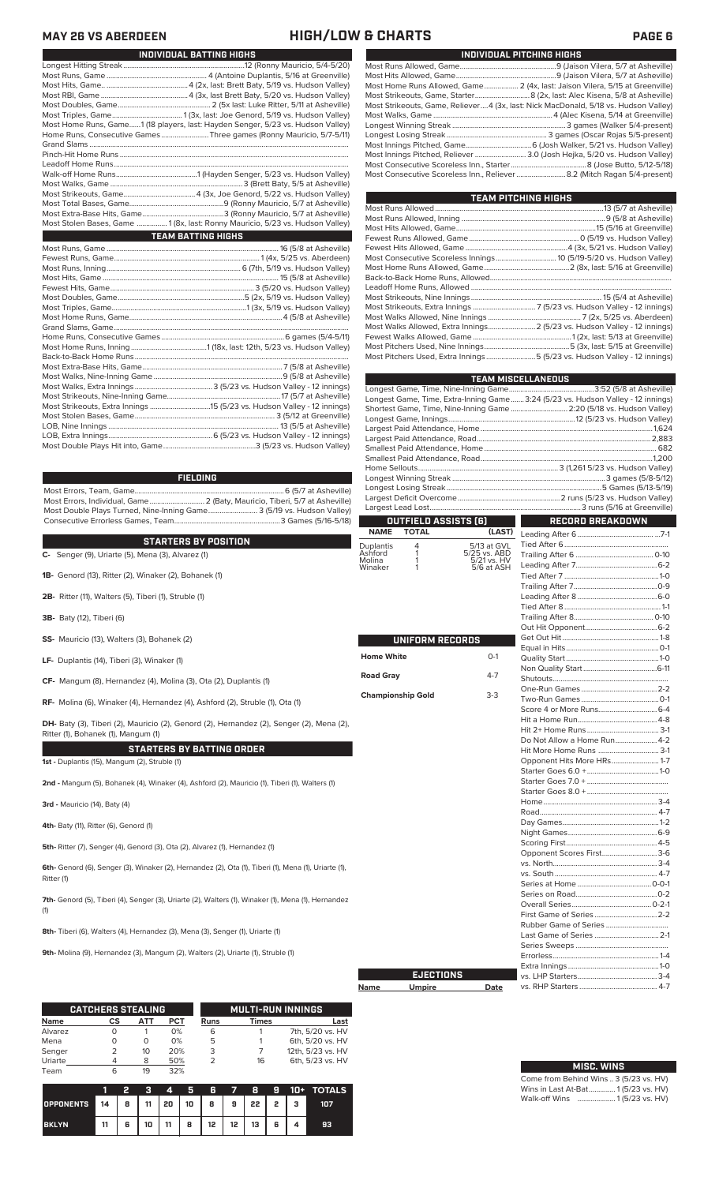**MAY 26 VS ABERDEEN HIGH/LOW & CHARTS** 

| INDIVIDUAL BATTING HIGHS                                                        |
|---------------------------------------------------------------------------------|
|                                                                                 |
|                                                                                 |
|                                                                                 |
|                                                                                 |
|                                                                                 |
|                                                                                 |
| Most Home Runs, Game1 (18 players, last: Hayden Senger, 5/23 vs. Hudson Valley) |
| Home Runs, Consecutive Games Three games (Ronny Mauricio, 5/7-5/11)             |
|                                                                                 |
|                                                                                 |
|                                                                                 |
|                                                                                 |
|                                                                                 |
|                                                                                 |
|                                                                                 |
|                                                                                 |
| Most Stolen Bases, Game  1 (8x, last: Ronny Mauricio, 5/23 vs. Hudson Valley)   |
| <b>TEAM BATTING HIGHS</b>                                                       |
|                                                                                 |
|                                                                                 |
|                                                                                 |
|                                                                                 |
|                                                                                 |
|                                                                                 |
|                                                                                 |
|                                                                                 |
|                                                                                 |
|                                                                                 |
|                                                                                 |
|                                                                                 |
|                                                                                 |
|                                                                                 |
|                                                                                 |
|                                                                                 |
|                                                                                 |
|                                                                                 |
|                                                                                 |

### **FIELDING**

Most Errors, Team, Game...............................................................................6 (5/7 at Asheville) .<br>2 (Baty, Mauricio, Tiberi, 5/7 at Asheville)<br>e........................... 3 (5/19 vs. Hudson Valley) Most Double Plays Turned, Nine-Inning Game.......................... 3 (5/19 vs. Hudson Valley) Consecutive Errorless Games, Team.

LOB, Extra Innings.......................................................6 (5/23 vs. Hudson Valley - 12 innings) Most Double Plays Hit into, Game.................................................3 (5/23 vs. Hudson Valley)

**C-** Senger (9), Uriarte (5), Mena (3), Alvarez (1) **STARTERS BY POSITION**

- **1B-** Genord (13), Ritter (2), Winaker (2), Bohanek (1)
- **2B-** Ritter (11), Walters (5), Tiberi (1), Struble (1)
- **3B-** Baty (12), Tiberi (6)
- **SS-** Mauricio (13), Walters (3), Bohanek (2)
- **LF-** Duplantis (14), Tiberi (3), Winaker (1)
- **CF-** Mangum (8), Hernandez (4), Molina (3), Ota (2), Duplantis (1)
- **RF-** Molina (6), Winaker (4), Hernandez (4), Ashford (2), Struble (1), Ota (1)

**DH-** Baty (3), Tiberi (2), Mauricio (2), Genord (2), Hernandez (2), Senger (2), Mena (2), Ritter (1), Bohanek (1), Mangum (1)

## **STARTERS BY BATTING ORDER**

**1st -** Duplantis (15), Mangum (2), Struble (1)

**2nd -** Mangum (5), Bohanek (4), Winaker (4), Ashford (2), Mauricio (1), Tiberi (1), Walters (1)

**3rd -** Mauricio (14), Baty (4)

**4th-** Baty (11), Ritter (6), Genord (1)

**5th-** Ritter (7), Senger (4), Genord (3), Ota (2), Alvarez (1), Hernandez (1)

**6th-** Genord (6), Senger (3), Winaker (2), Hernandez (2), Ota (1), Tiberi (1), Mena (1), Uriarte (1), Ritter (1)

**7th-** Genord (5), Tiberi (4), Senger (3), Uriarte (2), Walters (1), Winaker (1), Mena (1), Hernandez (1)

**8th-** Tiberi (6), Walters (4), Hernandez (3), Mena (3), Senger (1), Uriarte (1)

**9th-** Molina (9), Hernandez (3), Mangum (2), Walters (2), Uriarte (1), Struble (1)

|             | <b>CATCHERS STEALING</b> |          |     |      | <b>MULTI-RUN INNINGS</b> |                   |
|-------------|--------------------------|----------|-----|------|--------------------------|-------------------|
| <b>Name</b> | СS                       | АТТ      | PCT | Runs | <b>Times</b>             | Last              |
| Alvarez     |                          |          | 0%  | 6    |                          | 7th, 5/20 vs. HV  |
| Mena        |                          | $\left($ | 0%  | 5    |                          | 6th, 5/20 vs. HV  |
| Senger      |                          | 10       | 20% | 3    |                          | 12th, 5/23 vs. HV |
| Uriarte     |                          | 8        | 50% |      | 16                       | 6th, 5/23 vs. HV  |
| Team        | 6                        | 19       | 32% |      |                          |                   |

|                                                      |    |   |    | $\boldsymbol{A}$ | - 5 -  |                 |                 |  | 6 7 8 9 10 + TOTALS |
|------------------------------------------------------|----|---|----|------------------|--------|-----------------|-----------------|--|---------------------|
| OPPONENTS 14   8   11   20   10   8   9   22   2   3 |    |   |    |                  |        |                 |                 |  | 107                 |
| <b>BKLYN</b>                                         | 11 | 6 | 10 |                  | 11   8 | 12 <sup>1</sup> | $12$   $13$   6 |  | 93                  |

|--|--|

|                                                                                      | INDIVIDUAL PITCHING HIGHS |
|--------------------------------------------------------------------------------------|---------------------------|
|                                                                                      |                           |
|                                                                                      |                           |
| Most Home Runs Allowed, Game 2 (4x, last: Jaison Vilera, 5/15 at Greenville)         |                           |
|                                                                                      |                           |
| Most Strikeouts, Game, Reliever 4 (3x, last: Nick MacDonald, 5/18 vs. Hudson Valley) |                           |
|                                                                                      |                           |
|                                                                                      |                           |
|                                                                                      |                           |
|                                                                                      |                           |
| Most Innings Pitched, Reliever  3.0 (Josh Hejka, 5/20 vs. Hudson Valley)             |                           |
|                                                                                      |                           |
|                                                                                      |                           |

| <b>TEAM PITCHING HIGHS</b>                                                |  |
|---------------------------------------------------------------------------|--|
|                                                                           |  |
|                                                                           |  |
|                                                                           |  |
|                                                                           |  |
|                                                                           |  |
| Most Consecutive Scoreless Innings 10 (5/19-5/20 vs. Hudson Valley)       |  |
|                                                                           |  |
|                                                                           |  |
|                                                                           |  |
|                                                                           |  |
|                                                                           |  |
|                                                                           |  |
| Most Walks Allowed, Extra Innings 2 (5/23 vs. Hudson Valley - 12 innings) |  |
|                                                                           |  |
|                                                                           |  |
| Most Pitchers Used, Extra Innings 5 (5/23 vs. Hudson Valley - 12 innings) |  |

|                          |                      |                             | <b>TEAM MISCELLANEOUS</b>                                                         |  |
|--------------------------|----------------------|-----------------------------|-----------------------------------------------------------------------------------|--|
|                          |                      |                             |                                                                                   |  |
|                          |                      |                             | Longest Game, Time, Extra-Inning Game  3:24 (5/23 vs. Hudson Valley - 12 innings) |  |
|                          |                      |                             | Shortest Game, Time, Nine-Inning Game  2:20 (5/18 vs. Hudson Valley)              |  |
|                          |                      |                             |                                                                                   |  |
|                          |                      |                             |                                                                                   |  |
|                          |                      |                             |                                                                                   |  |
|                          |                      |                             |                                                                                   |  |
|                          |                      |                             |                                                                                   |  |
|                          |                      |                             |                                                                                   |  |
|                          |                      |                             |                                                                                   |  |
|                          |                      |                             |                                                                                   |  |
|                          |                      |                             |                                                                                   |  |
|                          |                      |                             |                                                                                   |  |
|                          | OUTFIELD ASSISTS (6) |                             | RECORD BREAKDOWN                                                                  |  |
| <b>NAME</b>              | <b>TOTAL</b>         | (LAST)                      |                                                                                   |  |
| Duplantis                | 4<br>1               | 5/13 at GVL                 |                                                                                   |  |
| Ashford<br>Molina        | 1                    | 5/25 vs. ABD<br>5/21 vs. HV |                                                                                   |  |
| Winaker                  | 1                    | 5/6 at ASH                  |                                                                                   |  |
|                          |                      |                             |                                                                                   |  |
|                          |                      |                             |                                                                                   |  |
|                          |                      |                             |                                                                                   |  |
|                          |                      |                             |                                                                                   |  |
|                          |                      |                             |                                                                                   |  |
|                          |                      |                             |                                                                                   |  |
|                          | UNIFORM RECORDS      |                             |                                                                                   |  |
|                          |                      |                             |                                                                                   |  |
| <b>Home White</b>        |                      | $0-1$                       |                                                                                   |  |
|                          |                      |                             |                                                                                   |  |
| <b>Road Gray</b>         |                      | $4 - 7$                     |                                                                                   |  |
|                          |                      | $3-3$                       |                                                                                   |  |
| <b>Championship Gold</b> |                      |                             |                                                                                   |  |
|                          |                      |                             |                                                                                   |  |
|                          |                      |                             |                                                                                   |  |
|                          |                      |                             |                                                                                   |  |
|                          |                      |                             | Do Not Allow a Home Run 4-2                                                       |  |
|                          |                      |                             | Hit More Home Runs  3-1                                                           |  |
|                          |                      |                             | Opponent Hits More HRs 1-7                                                        |  |
|                          |                      |                             |                                                                                   |  |
|                          |                      |                             |                                                                                   |  |
|                          |                      |                             |                                                                                   |  |
|                          |                      |                             |                                                                                   |  |
|                          |                      |                             |                                                                                   |  |
|                          |                      |                             |                                                                                   |  |
|                          |                      |                             |                                                                                   |  |
|                          |                      |                             |                                                                                   |  |
|                          |                      |                             | Opponent Scores First 3-6                                                         |  |
|                          |                      |                             |                                                                                   |  |
|                          |                      |                             |                                                                                   |  |
|                          |                      |                             |                                                                                   |  |
|                          |                      |                             |                                                                                   |  |
|                          |                      |                             |                                                                                   |  |
|                          |                      |                             |                                                                                   |  |
|                          |                      |                             |                                                                                   |  |
|                          |                      |                             | Last Game of Series  2-1                                                          |  |
|                          |                      |                             |                                                                                   |  |
|                          |                      |                             |                                                                                   |  |
|                          |                      |                             |                                                                                   |  |
|                          | <b>EJECTIONS</b>     |                             |                                                                                   |  |
|                          |                      |                             |                                                                                   |  |

| Name | <b>Umpire</b> | Date |
|------|---------------|------|
|      |               |      |

**Cha** 

| <b>MISC. WINS</b>                      |
|----------------------------------------|
| Come from Behind Wins  3 (5/23 vs. HV) |
| Wins in Last At-Bat 1(5/23 vs. HV)     |
| Walk-off Wins  1(5/23 vs. HV)          |

vs. RHP Starters ......................................... 4-7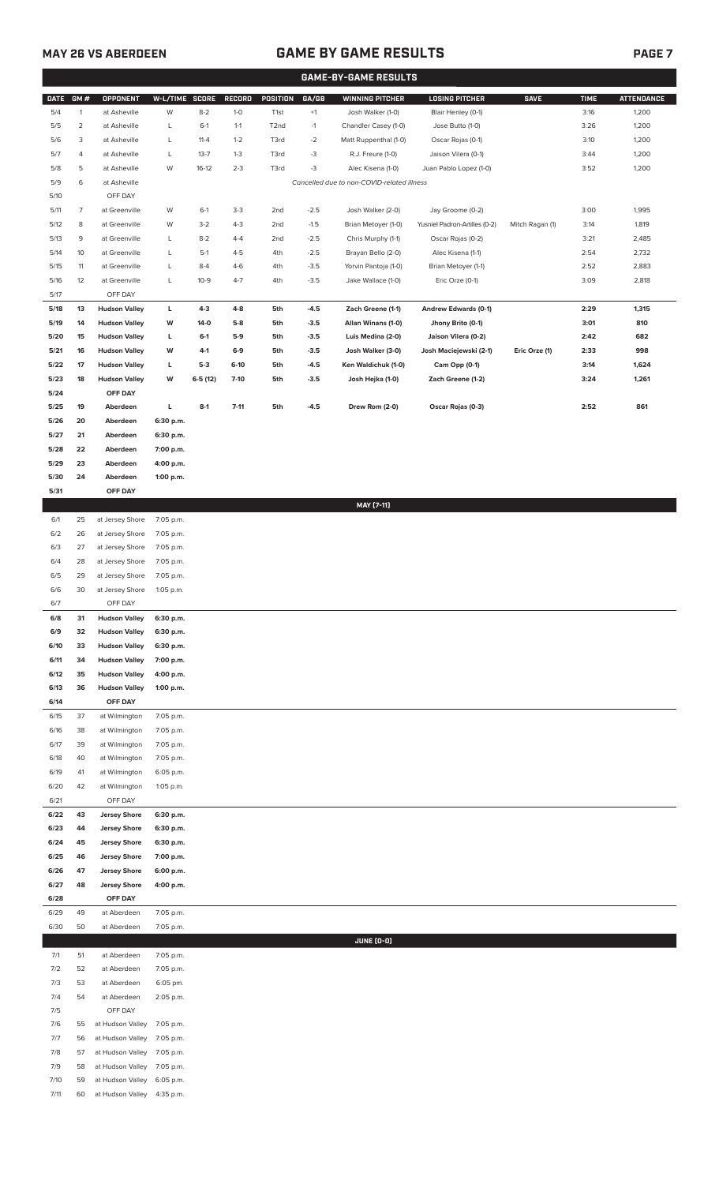## **MAY 26 VS ABERDEEN GAME BY GAME RESULTS PAGE 7**

| <b>GAME-BY-GAME RESULTS</b> |              |                                              |                        |                 |                |                   |                  |                                                                 |                                          |                 |              |                   |
|-----------------------------|--------------|----------------------------------------------|------------------------|-----------------|----------------|-------------------|------------------|-----------------------------------------------------------------|------------------------------------------|-----------------|--------------|-------------------|
| <b>DATE</b>                 | GM#          | OPPONENT                                     | W-L/TIME SCORE         |                 | RECORD         | POSITION          | GA/GB            | <b>WINNING PITCHER</b>                                          | <b>LOSING PITCHER</b>                    | <b>SAVE</b>     | <b>TIME</b>  | <b>ATTENDANCE</b> |
| 5/4                         | $\mathbf{1}$ | at Asheville                                 | W                      | $8 - 2$         | $1 - 0$        | T1st              | $+1$             | Josh Walker (1-0)                                               | Blair Henley (0-1)                       |                 | 3:16         | 1,200             |
| 5/5                         | 2            | at Asheville                                 | L                      | $6-1$           | $1 - 1$        | T <sub>2</sub> nd | $-1$             | Chandler Casey (1-0)                                            | Jose Butto (1-0)                         |                 | 3:26         | 1,200             |
| 5/6                         | 3            | at Asheville                                 | L                      | $11 - 4$        | $1 - 2$        | T3rd              | $-2$             | Matt Ruppenthal (1-0)                                           | Oscar Rojas (0-1)                        |                 | 3:10         | 1,200             |
| 5/7                         | 4            | at Asheville                                 | L                      | $13 - 7$        | $1 - 3$        | T3rd              | $-3$             | R.J. Freure (1-0)                                               | Jaison Vilera (0-1)                      |                 | 3:44         | 1,200             |
| 5/8<br>5/9                  | 5<br>6       | at Asheville<br>at Asheville                 | W                      | $16-12$         | $2 - 3$        | T3rd              | $-3$             | Alec Kisena (1-0)<br>Cancelled due to non-COVID-related illness | Juan Pablo Lopez (1-0)                   |                 | 3:52         | 1,200             |
| 5/10                        |              | OFF DAY                                      |                        |                 |                |                   |                  |                                                                 |                                          |                 |              |                   |
| 5/11                        | 7            | at Greenville                                | W                      | $6-1$           | $3-3$          | 2 <sub>nd</sub>   | $-2.5$           | Josh Walker (2-0)                                               | Jay Groome (0-2)                         |                 | 3:00         | 1,995             |
| 5/12                        | 8            | at Greenville                                | W                      | $3 - 2$         | $4 - 3$        | 2nd               | $-1.5$           | Brian Metoyer (1-0)                                             | Yusniel Padron-Artilles (0-2)            | Mitch Ragan (1) | 3:14         | 1,819             |
| 5/13                        | 9            | at Greenville                                | L                      | $8 - 2$         | $4 - 4$        | 2 <sub>nd</sub>   | $-2.5$           | Chris Murphy (1-1)                                              | Oscar Rojas (0-2)                        |                 | 3:21         | 2,485             |
| 5/14                        | 10           | at Greenville                                | L                      | $5-1$           | $4 - 5$        | 4th               | $-2.5$           | Brayan Bello (2-0)                                              | Alec Kisena (1-1)                        |                 | 2:54         | 2,732             |
| 5/15                        | 11           | at Greenville                                | L                      | $8 - 4$         | $4-6$          | 4th               | $-3.5$           | Yorvin Pantoja (1-0)                                            | Brian Metoyer (1-1)                      |                 | 2:52         | 2,883             |
| 5/16                        | 12           | at Greenville                                | L                      | $10-9$          | $4 - 7$        | 4th               | $-3.5$           | Jake Wallace (1-0)                                              | Eric Orze (0-1)                          |                 | 3:09         | 2,818             |
| 5/17                        |              | OFF DAY                                      |                        |                 |                |                   |                  |                                                                 |                                          |                 |              |                   |
| 5/18                        | 13           | <b>Hudson Valley</b>                         | L                      | $4-3$           | $4 - 8$        | 5th               | $-4.5$           | Zach Greene (1-1)                                               | Andrew Edwards (0-1)                     |                 | 2:29         | 1,315             |
| 5/19<br>5/20                | 14<br>15     | <b>Hudson Valley</b><br><b>Hudson Valley</b> | W<br>L                 | $14-0$<br>$6-1$ | $5-8$<br>$5-9$ | 5th<br>5th        | $-3.5$<br>$-3.5$ | Allan Winans (1-0)<br>Luis Medina (2-0)                         | Jhony Brito (0-1)<br>Jaison Vilera (0-2) |                 | 3:01<br>2:42 | 810<br>682        |
| 5/21                        | 16           | <b>Hudson Valley</b>                         | W                      | 4-1             | $6-9$          | 5th               | $-3.5$           | Josh Walker (3-0)                                               | Josh Maciejewski (2-1)                   | Eric Orze (1)   | 2:33         | 998               |
| 5/22                        | 17           | <b>Hudson Valley</b>                         | г                      | $5-3$           | $6-10$         | 5th               | $-4.5$           | Ken Waldichuk (1-0)                                             | Cam Opp (0-1)                            |                 | 3:14         | 1,624             |
| 5/23                        | 18           | <b>Hudson Valley</b>                         | W                      | $6-5(12)$       | $7-10$         | 5th               | $-3.5$           | Josh Hejka (1-0)                                                | Zach Greene (1-2)                        |                 | 3:24         | 1,261             |
| 5/24                        |              | OFF DAY                                      |                        |                 |                |                   |                  |                                                                 |                                          |                 |              |                   |
| 5/25                        | 19           | Aberdeen                                     | L                      | $8-1$           | $7 - 11$       | 5th               | $-4.5$           | Drew Rom (2-0)                                                  | Oscar Rojas (0-3)                        |                 | 2:52         | 861               |
| 5/26                        | 20           | Aberdeen                                     | 6:30 p.m.              |                 |                |                   |                  |                                                                 |                                          |                 |              |                   |
| 5/27                        | 21           | Aberdeen                                     | 6:30 p.m.              |                 |                |                   |                  |                                                                 |                                          |                 |              |                   |
| 5/28<br>5/29                | 22<br>23     | Aberdeen<br>Aberdeen                         | 7:00 p.m.<br>4:00 p.m. |                 |                |                   |                  |                                                                 |                                          |                 |              |                   |
| 5/30                        | 24           | Aberdeen                                     | 1:00 p.m.              |                 |                |                   |                  |                                                                 |                                          |                 |              |                   |
| 5/31                        |              | OFF DAY                                      |                        |                 |                |                   |                  |                                                                 |                                          |                 |              |                   |
|                             |              |                                              |                        |                 |                |                   |                  | MAY [7-11]                                                      |                                          |                 |              |                   |
| 6/1                         | 25           | at Jersey Shore                              | 7:05 p.m.              |                 |                |                   |                  |                                                                 |                                          |                 |              |                   |
| 6/2                         | 26           | at Jersey Shore                              | 7:05 p.m.              |                 |                |                   |                  |                                                                 |                                          |                 |              |                   |
| 6/3                         | 27           | at Jersey Shore                              | 7:05 p.m.              |                 |                |                   |                  |                                                                 |                                          |                 |              |                   |
| 6/4                         | 28           | at Jersey Shore                              | 7:05 p.m.              |                 |                |                   |                  |                                                                 |                                          |                 |              |                   |
| 6/5                         | 29           | at Jersey Shore                              | 7:05 p.m.              |                 |                |                   |                  |                                                                 |                                          |                 |              |                   |
| 6/6<br>6/7                  | 30           | at Jersey Shore<br>OFF DAY                   | 1:05 p.m.              |                 |                |                   |                  |                                                                 |                                          |                 |              |                   |
| 6/8                         | 31           | <b>Hudson Valley</b>                         | 6:30 p.m.              |                 |                |                   |                  |                                                                 |                                          |                 |              |                   |
| 6/9                         | 32           | <b>Hudson Valley</b>                         | 6:30 p.m.              |                 |                |                   |                  |                                                                 |                                          |                 |              |                   |
| 6/10                        | 33           | <b>Hudson Valley</b>                         | 6:30 p.m.              |                 |                |                   |                  |                                                                 |                                          |                 |              |                   |
| 6/11                        | 34           | <b>Hudson Valley</b>                         | 7:00 p.m.              |                 |                |                   |                  |                                                                 |                                          |                 |              |                   |
| 6/12                        | 35           | <b>Hudson Valley</b>                         | 4:00 p.m.              |                 |                |                   |                  |                                                                 |                                          |                 |              |                   |
| 6/13                        | 36           | <b>Hudson Valley</b>                         | 1:00 p.m.              |                 |                |                   |                  |                                                                 |                                          |                 |              |                   |
| 6/14                        |              | OFF DAY                                      |                        |                 |                |                   |                  |                                                                 |                                          |                 |              |                   |
| 6/15<br>6/16                | 37<br>38     | at Wilmington<br>at Wilmington               | 7:05 p.m.<br>7:05 p.m. |                 |                |                   |                  |                                                                 |                                          |                 |              |                   |
| 6/17                        | 39           | at Wilmington                                | 7:05 p.m.              |                 |                |                   |                  |                                                                 |                                          |                 |              |                   |
| 6/18                        | 40           | at Wilmington                                | 7:05 p.m.              |                 |                |                   |                  |                                                                 |                                          |                 |              |                   |
| 6/19                        | 41           | at Wilmington                                | 6:05 p.m.              |                 |                |                   |                  |                                                                 |                                          |                 |              |                   |
| 6/20                        | 42           | at Wilmington                                | 1:05 p.m.              |                 |                |                   |                  |                                                                 |                                          |                 |              |                   |
| 6/21                        |              | OFF DAY                                      |                        |                 |                |                   |                  |                                                                 |                                          |                 |              |                   |
| 6/22                        | 43           | <b>Jersey Shore</b>                          | 6:30 p.m.              |                 |                |                   |                  |                                                                 |                                          |                 |              |                   |
| 6/23                        | 44           | <b>Jersey Shore</b>                          | 6:30 p.m.              |                 |                |                   |                  |                                                                 |                                          |                 |              |                   |
| 6/24<br>6/25                | 45<br>46     | <b>Jersey Shore</b><br><b>Jersey Shore</b>   | 6:30 p.m.<br>7:00 p.m. |                 |                |                   |                  |                                                                 |                                          |                 |              |                   |
| 6/26                        | 47           | <b>Jersey Shore</b>                          | 6:00 p.m.              |                 |                |                   |                  |                                                                 |                                          |                 |              |                   |
| 6/27                        | 48           | <b>Jersey Shore</b>                          | 4:00 p.m.              |                 |                |                   |                  |                                                                 |                                          |                 |              |                   |
| 6/28                        |              | OFF DAY                                      |                        |                 |                |                   |                  |                                                                 |                                          |                 |              |                   |
| 6/29                        | 49           | at Aberdeen                                  | 7:05 p.m.              |                 |                |                   |                  |                                                                 |                                          |                 |              |                   |
| 6/30                        | 50           | at Aberdeen                                  | 7:05 p.m.              |                 |                |                   |                  |                                                                 |                                          |                 |              |                   |
|                             |              |                                              |                        |                 |                |                   |                  | JUNE (0-0)                                                      |                                          |                 |              |                   |
| 7/1                         | 51           | at Aberdeen                                  | 7:05 p.m.              |                 |                |                   |                  |                                                                 |                                          |                 |              |                   |
| 7/2<br>7/3                  | 52<br>53     | at Aberdeen<br>at Aberdeen                   | 7:05 p.m.<br>6:05 pm.  |                 |                |                   |                  |                                                                 |                                          |                 |              |                   |
| 7/4                         | 54           | at Aberdeen                                  | 2:05 p.m.              |                 |                |                   |                  |                                                                 |                                          |                 |              |                   |
| 7/5                         |              | OFF DAY                                      |                        |                 |                |                   |                  |                                                                 |                                          |                 |              |                   |
| 7/6                         | 55           | at Hudson Valley                             | 7:05 p.m.              |                 |                |                   |                  |                                                                 |                                          |                 |              |                   |
| 7/7                         | 56           | at Hudson Valley                             | 7:05 p.m.              |                 |                |                   |                  |                                                                 |                                          |                 |              |                   |
| 7/8                         | 57           | at Hudson Valley                             | 7:05 p.m.              |                 |                |                   |                  |                                                                 |                                          |                 |              |                   |
| 7/9                         | 58           | at Hudson Valley                             | 7:05 p.m.              |                 |                |                   |                  |                                                                 |                                          |                 |              |                   |
| 7/10                        | 59           | at Hudson Valley                             | 6:05 p.m.              |                 |                |                   |                  |                                                                 |                                          |                 |              |                   |

7/11 60 at Hudson Valley 4:35 p.m.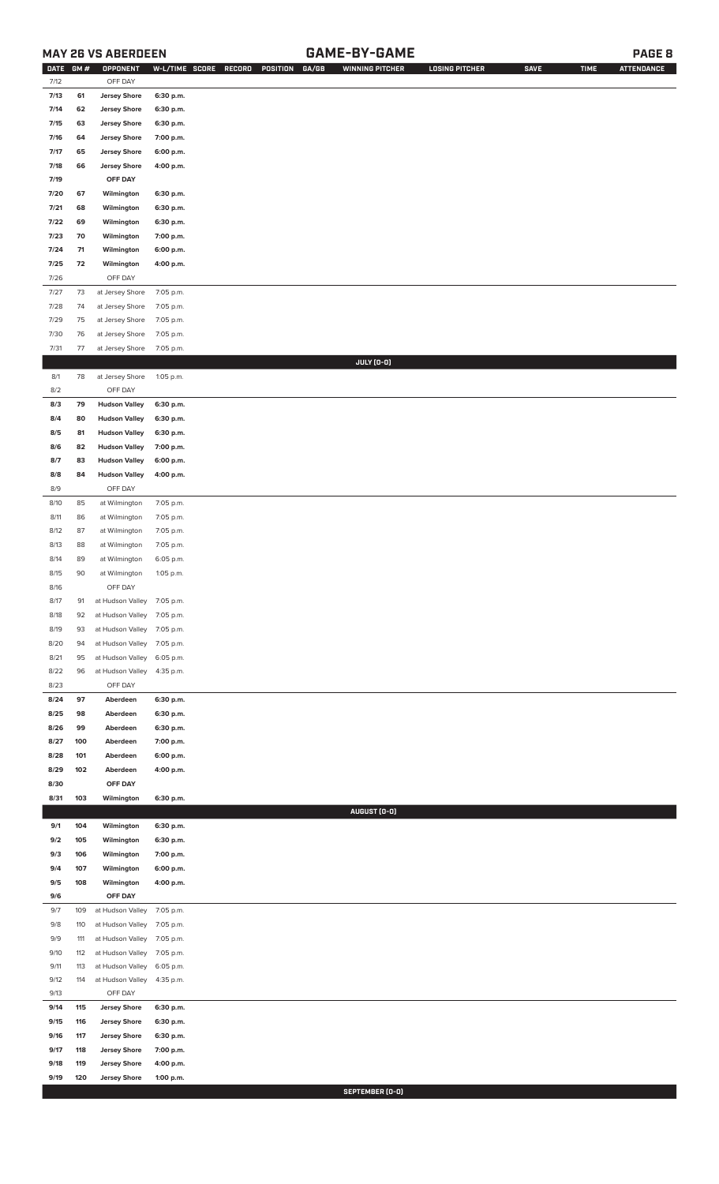## **MAY 26 VS ABERDEEN GAME-BY-GAME PAGE 8**

| <b>DATE</b> | GM# | OPPONENT                   | W-L/TIME SCORE         | RECORD | GA/GB<br>POSITION | <b>WINNING PITCHER</b> | <b>LOSING PITCHER</b> | <b>SAVE</b> | <b>TIME</b> | <b>ATTENDANCE</b> |
|-------------|-----|----------------------------|------------------------|--------|-------------------|------------------------|-----------------------|-------------|-------------|-------------------|
| 7/12        |     | OFF DAY                    |                        |        |                   |                        |                       |             |             |                   |
| 7/13        | 61  | <b>Jersey Shore</b>        | 6:30 p.m.              |        |                   |                        |                       |             |             |                   |
| 7/14        | 62  | <b>Jersey Shore</b>        | 6:30 p.m.              |        |                   |                        |                       |             |             |                   |
| 7/15        | 63  | <b>Jersey Shore</b>        | 6:30 p.m.              |        |                   |                        |                       |             |             |                   |
| 7/16        | 64  | <b>Jersey Shore</b>        | 7:00 p.m.              |        |                   |                        |                       |             |             |                   |
| 7/17        | 65  | <b>Jersey Shore</b>        | 6:00 p.m.              |        |                   |                        |                       |             |             |                   |
| 7/18        | 66  | <b>Jersey Shore</b>        | 4:00 p.m.              |        |                   |                        |                       |             |             |                   |
| 7/19        |     | OFF DAY                    |                        |        |                   |                        |                       |             |             |                   |
| 7/20        | 67  | Wilmington                 | 6:30 p.m.              |        |                   |                        |                       |             |             |                   |
| 7/21        | 68  | Wilmington                 | 6:30 p.m.              |        |                   |                        |                       |             |             |                   |
| 7/22        | 69  | Wilmington                 | 6:30 p.m.              |        |                   |                        |                       |             |             |                   |
| 7/23        | 70  | Wilmington                 | 7:00 p.m.              |        |                   |                        |                       |             |             |                   |
| 7/24        | 71  | Wilmington                 | 6:00 p.m.              |        |                   |                        |                       |             |             |                   |
| 7/25        | 72  | Wilmington                 | 4:00 p.m.              |        |                   |                        |                       |             |             |                   |
| 7/26        |     | OFF DAY                    |                        |        |                   |                        |                       |             |             |                   |
| 7/27        | 73  | at Jersey Shore            | 7:05 p.m.              |        |                   |                        |                       |             |             |                   |
| 7/28        | 74  | at Jersey Shore            | 7:05 p.m.              |        |                   |                        |                       |             |             |                   |
| 7/29        | 75  | at Jersey Shore            | 7:05 p.m.              |        |                   |                        |                       |             |             |                   |
| 7/30        | 76  | at Jersey Shore            | 7:05 p.m.              |        |                   |                        |                       |             |             |                   |
| 7/31        | 77  | at Jersey Shore            | 7:05 p.m.              |        |                   |                        |                       |             |             |                   |
|             |     |                            |                        |        |                   | JULY (0-0)             |                       |             |             |                   |
| 8/1         | 78  | at Jersey Shore            | 1:05 p.m.              |        |                   |                        |                       |             |             |                   |
| 8/2         |     | OFF DAY                    |                        |        |                   |                        |                       |             |             |                   |
| 8/3         | 79  | <b>Hudson Valley</b>       |                        |        |                   |                        |                       |             |             |                   |
| 8/4         | 80  | <b>Hudson Valley</b>       | 6:30 p.m.<br>6:30 p.m. |        |                   |                        |                       |             |             |                   |
|             |     |                            |                        |        |                   |                        |                       |             |             |                   |
| 8/5         | 81  | <b>Hudson Valley</b>       | 6:30 p.m.              |        |                   |                        |                       |             |             |                   |
| 8/6         | 82  | <b>Hudson Valley</b>       | 7:00 p.m.              |        |                   |                        |                       |             |             |                   |
| 8/7         | 83  | <b>Hudson Valley</b>       | 6:00 p.m.              |        |                   |                        |                       |             |             |                   |
| 8/8         | 84  | <b>Hudson Valley</b>       | 4:00 p.m.              |        |                   |                        |                       |             |             |                   |
| 8/9         |     | OFF DAY                    |                        |        |                   |                        |                       |             |             |                   |
| 8/10        | 85  | at Wilmington              | 7:05 p.m.              |        |                   |                        |                       |             |             |                   |
| 8/11        | 86  | at Wilmington              | 7:05 p.m.              |        |                   |                        |                       |             |             |                   |
| 8/12        | 87  | at Wilmington              | 7:05 p.m.              |        |                   |                        |                       |             |             |                   |
| 8/13        | 88  | at Wilmington              | 7:05 p.m.              |        |                   |                        |                       |             |             |                   |
| 8/14        | 89  | at Wilmington              | 6:05 p.m.              |        |                   |                        |                       |             |             |                   |
| 8/15        | 90  | at Wilmington              | 1:05 p.m.              |        |                   |                        |                       |             |             |                   |
| 8/16        |     | OFF DAY                    |                        |        |                   |                        |                       |             |             |                   |
| 8/17        | 91  | at Hudson Valley 7:05 p.m. |                        |        |                   |                        |                       |             |             |                   |
| 8/18        | 92  | at Hudson Valley 7:05 p.m. |                        |        |                   |                        |                       |             |             |                   |
| 8/19        | 93  | at Hudson Valley           | 7:05 p.m.              |        |                   |                        |                       |             |             |                   |
| 8/20        | 94  | at Hudson Valley           | 7:05 p.m.              |        |                   |                        |                       |             |             |                   |
| 8/21        | 95  | at Hudson Valley           | 6:05 p.m.              |        |                   |                        |                       |             |             |                   |
| 8/22        | 96  | at Hudson Valley           | 4:35 p.m.              |        |                   |                        |                       |             |             |                   |
| 8/23        |     | OFF DAY                    |                        |        |                   |                        |                       |             |             |                   |
| 8/24        | 97  | Aberdeen                   | 6:30 p.m.              |        |                   |                        |                       |             |             |                   |
| 8/25        | 98  | Aberdeen                   | 6:30 p.m.              |        |                   |                        |                       |             |             |                   |
| 8/26        | 99  | Aberdeen                   | 6:30 p.m.              |        |                   |                        |                       |             |             |                   |
| 8/27        | 100 | Aberdeen                   | 7:00 p.m.              |        |                   |                        |                       |             |             |                   |
| 8/28        | 101 | Aberdeen                   | 6:00 p.m.              |        |                   |                        |                       |             |             |                   |
| 8/29        | 102 | Aberdeen                   | 4:00 p.m.              |        |                   |                        |                       |             |             |                   |
| 8/30        |     | OFF DAY                    |                        |        |                   |                        |                       |             |             |                   |
| 8/31        | 103 | Wilmington                 | 6:30 p.m.              |        |                   |                        |                       |             |             |                   |
|             |     |                            |                        |        |                   | AUGUST (0-0)           |                       |             |             |                   |
| 9/1         | 104 | Wilmington                 | 6:30 p.m.              |        |                   |                        |                       |             |             |                   |
| 9/2         | 105 | Wilmington                 | 6:30 p.m.              |        |                   |                        |                       |             |             |                   |
| 9/3         | 106 | Wilmington                 | 7:00 p.m.              |        |                   |                        |                       |             |             |                   |
| 9/4         | 107 | Wilmington                 | 6:00 p.m.              |        |                   |                        |                       |             |             |                   |
| 9/5         | 108 | Wilmington                 | 4:00 p.m.              |        |                   |                        |                       |             |             |                   |
|             |     | OFF DAY                    |                        |        |                   |                        |                       |             |             |                   |
| 9/6         |     |                            |                        |        |                   |                        |                       |             |             |                   |
| 9/7         | 109 | at Hudson Valley           | 7:05 p.m.              |        |                   |                        |                       |             |             |                   |
| 9/8         | 110 | at Hudson Valley           | 7:05 p.m.              |        |                   |                        |                       |             |             |                   |
| 9/9         | 111 | at Hudson Valley           | 7:05 p.m.              |        |                   |                        |                       |             |             |                   |
| 9/10        | 112 | at Hudson Valley           | 7:05 p.m.              |        |                   |                        |                       |             |             |                   |
| 9/11        | 113 | at Hudson Valley           | 6:05 p.m.              |        |                   |                        |                       |             |             |                   |
| 9/12        | 114 | at Hudson Valley           | 4:35 p.m.              |        |                   |                        |                       |             |             |                   |
| 9/13        |     | OFF DAY                    |                        |        |                   |                        |                       |             |             |                   |
| 9/14        | 115 | <b>Jersey Shore</b>        | 6:30 p.m.              |        |                   |                        |                       |             |             |                   |
| 9/15        | 116 | <b>Jersey Shore</b>        | 6:30 p.m.              |        |                   |                        |                       |             |             |                   |
| 9/16        | 117 | <b>Jersey Shore</b>        | 6:30 p.m.              |        |                   |                        |                       |             |             |                   |
| 9/17        | 118 | <b>Jersey Shore</b>        | 7:00 p.m.              |        |                   |                        |                       |             |             |                   |
| 9/18        | 119 | <b>Jersey Shore</b>        | 4:00 p.m.              |        |                   |                        |                       |             |             |                   |
| 9/19        | 120 | <b>Jersey Shore</b>        | 1:00 p.m.              |        |                   |                        |                       |             |             |                   |

**SEPTEMBER (0-0)**<br>The second separation of the second second second second second second second second second second second second